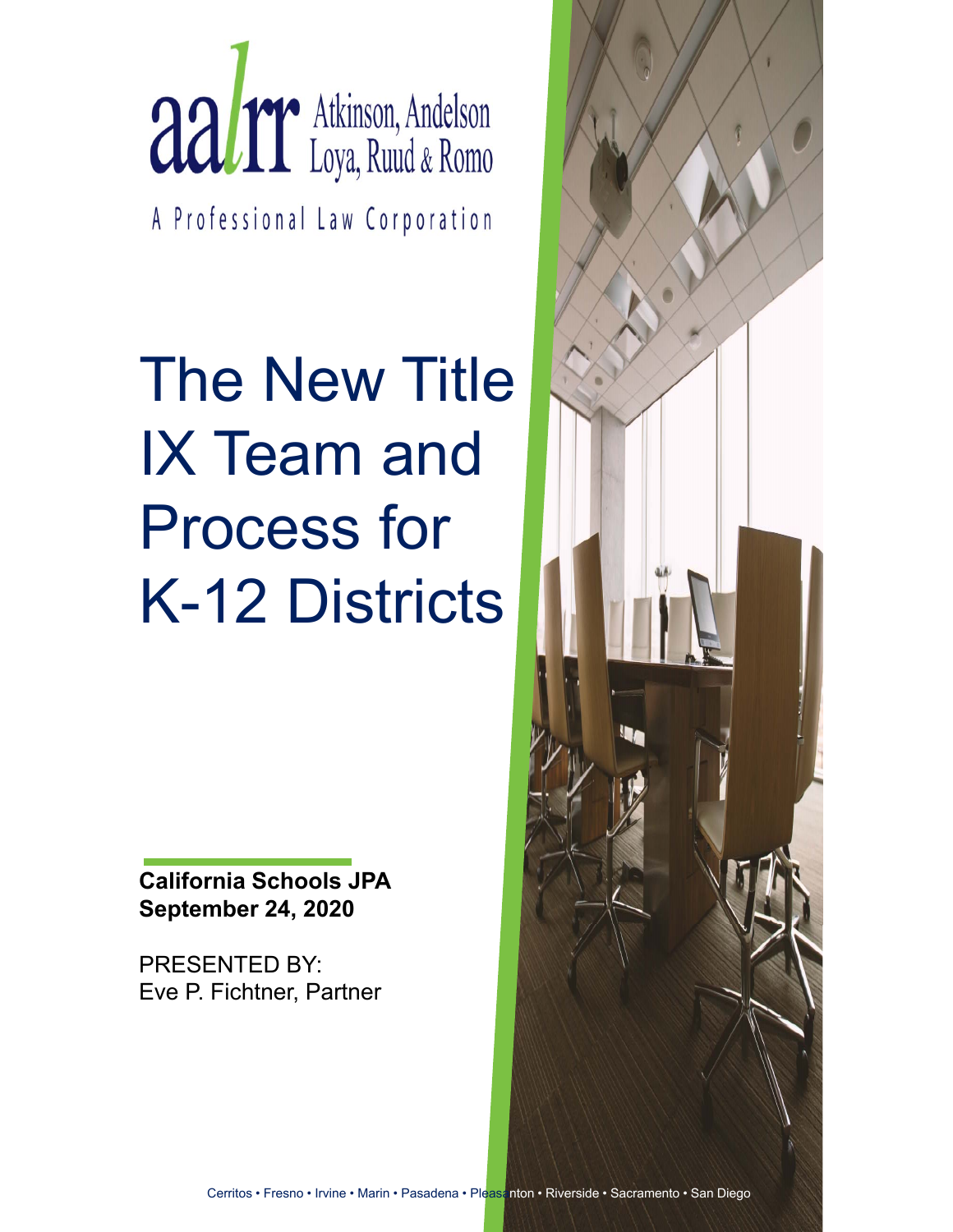

The New Title IX Team and Process for K-12 Districts

**California Schools JPA September 24, 2020**

PRESENTED BY: Eve P. Fichtner, Partner

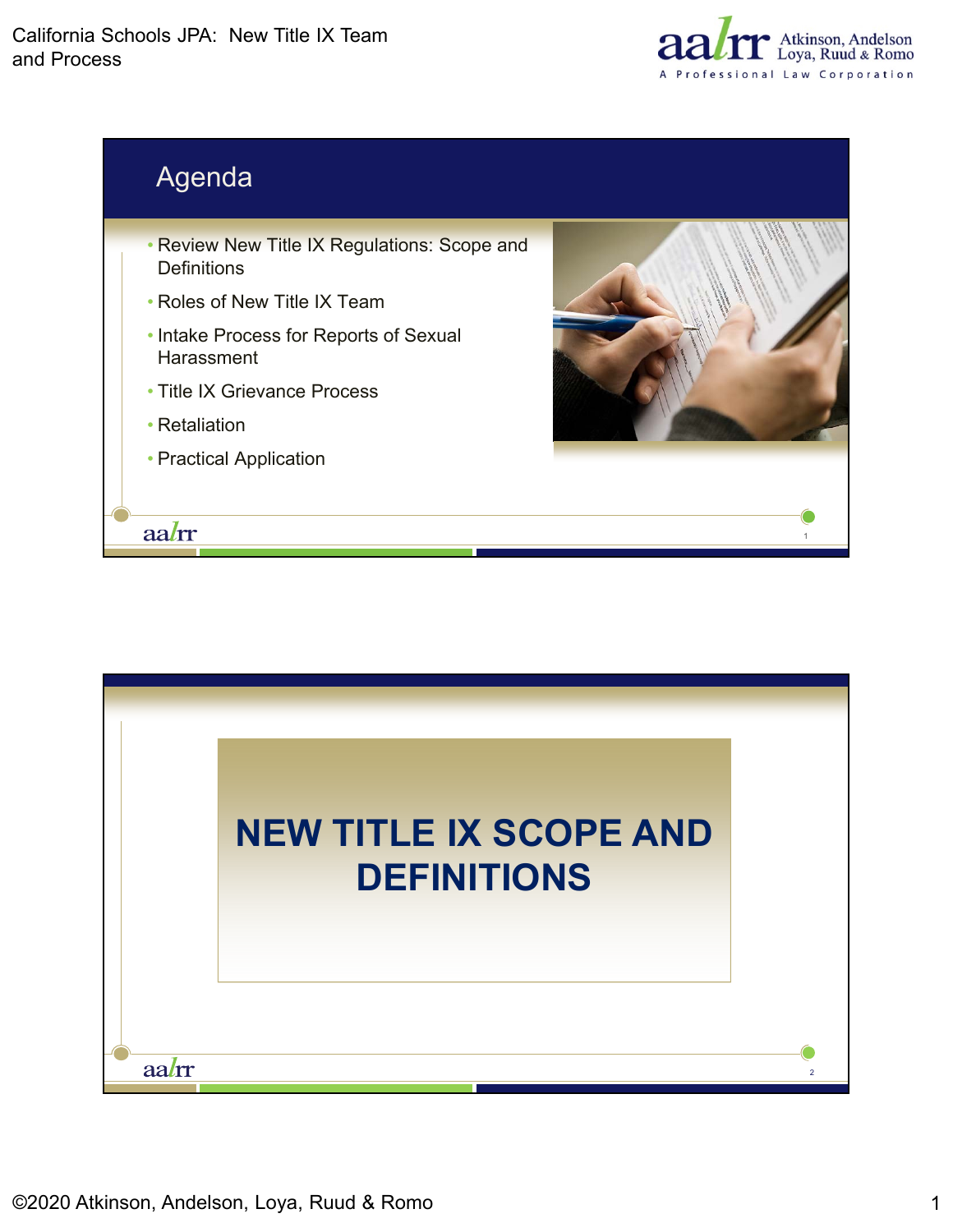



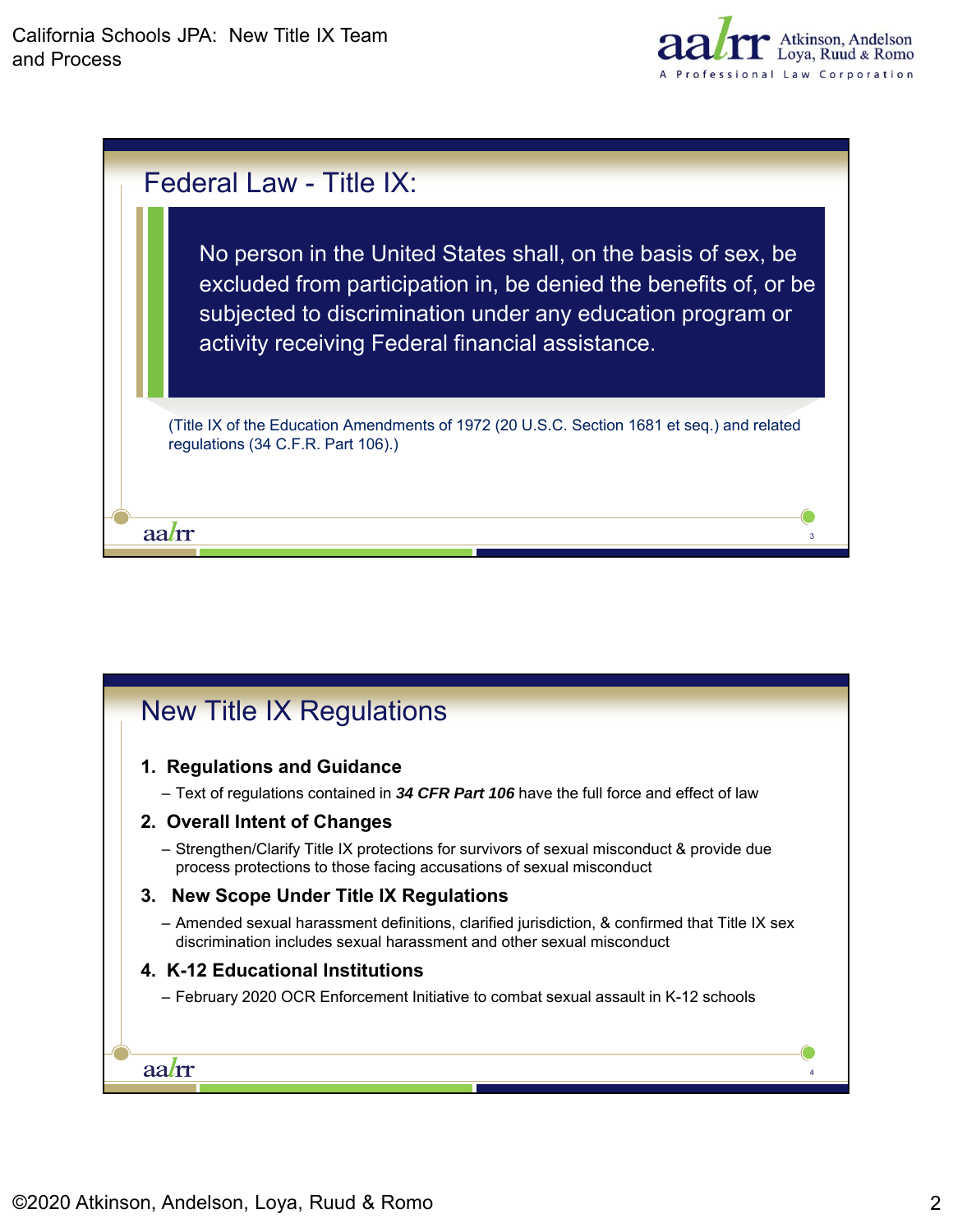

| Federal Law - Title IX:                                                                                                                                                                                                                             |  |
|-----------------------------------------------------------------------------------------------------------------------------------------------------------------------------------------------------------------------------------------------------|--|
| No person in the United States shall, on the basis of sex, be<br>excluded from participation in, be denied the benefits of, or be<br>subjected to discrimination under any education program or<br>activity receiving Federal financial assistance. |  |
| (Title IX of the Education Amendments of 1972 (20 U.S.C. Section 1681 et seq.) and related<br>regulations (34 C.F.R. Part 106).)                                                                                                                    |  |
| aam                                                                                                                                                                                                                                                 |  |

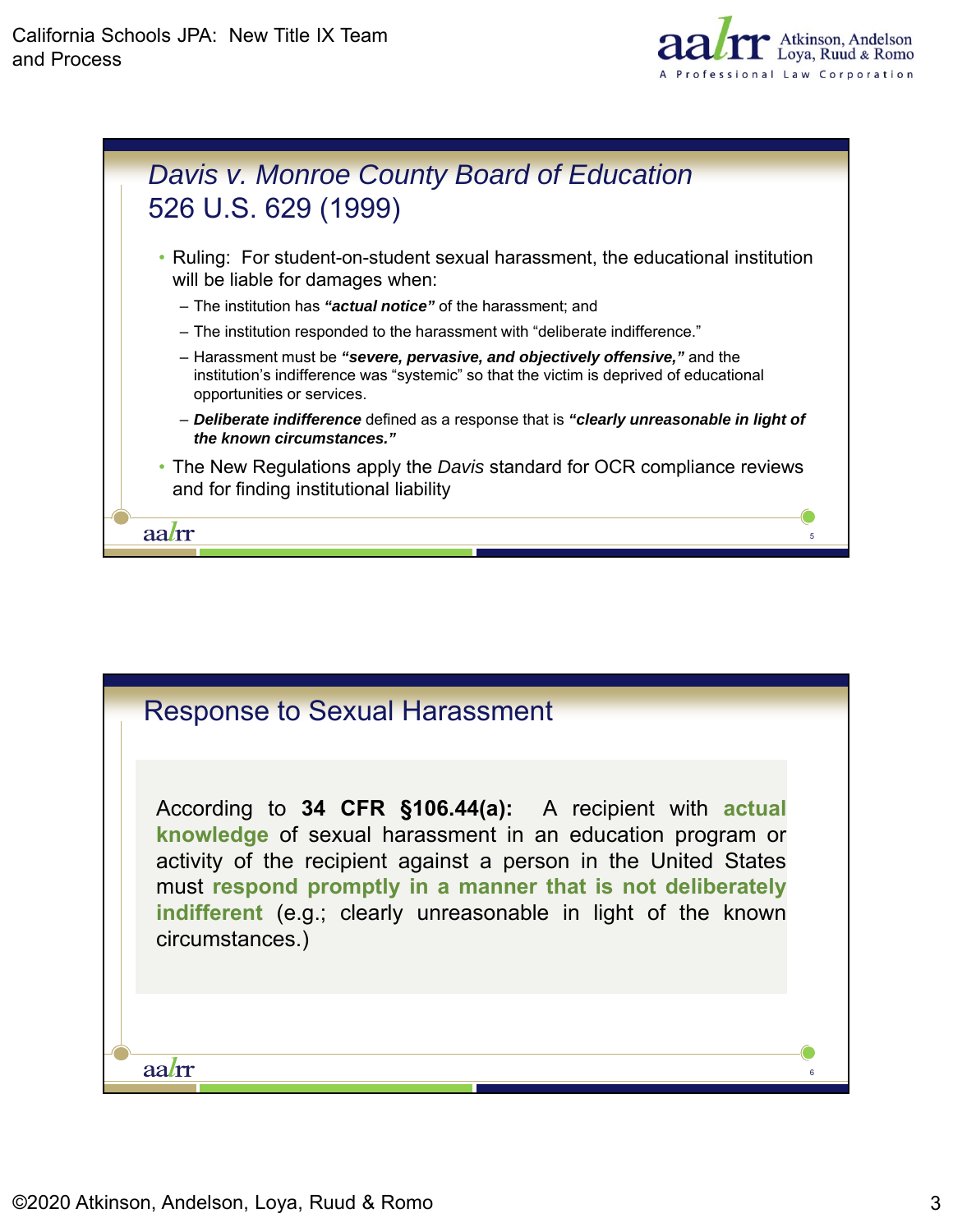



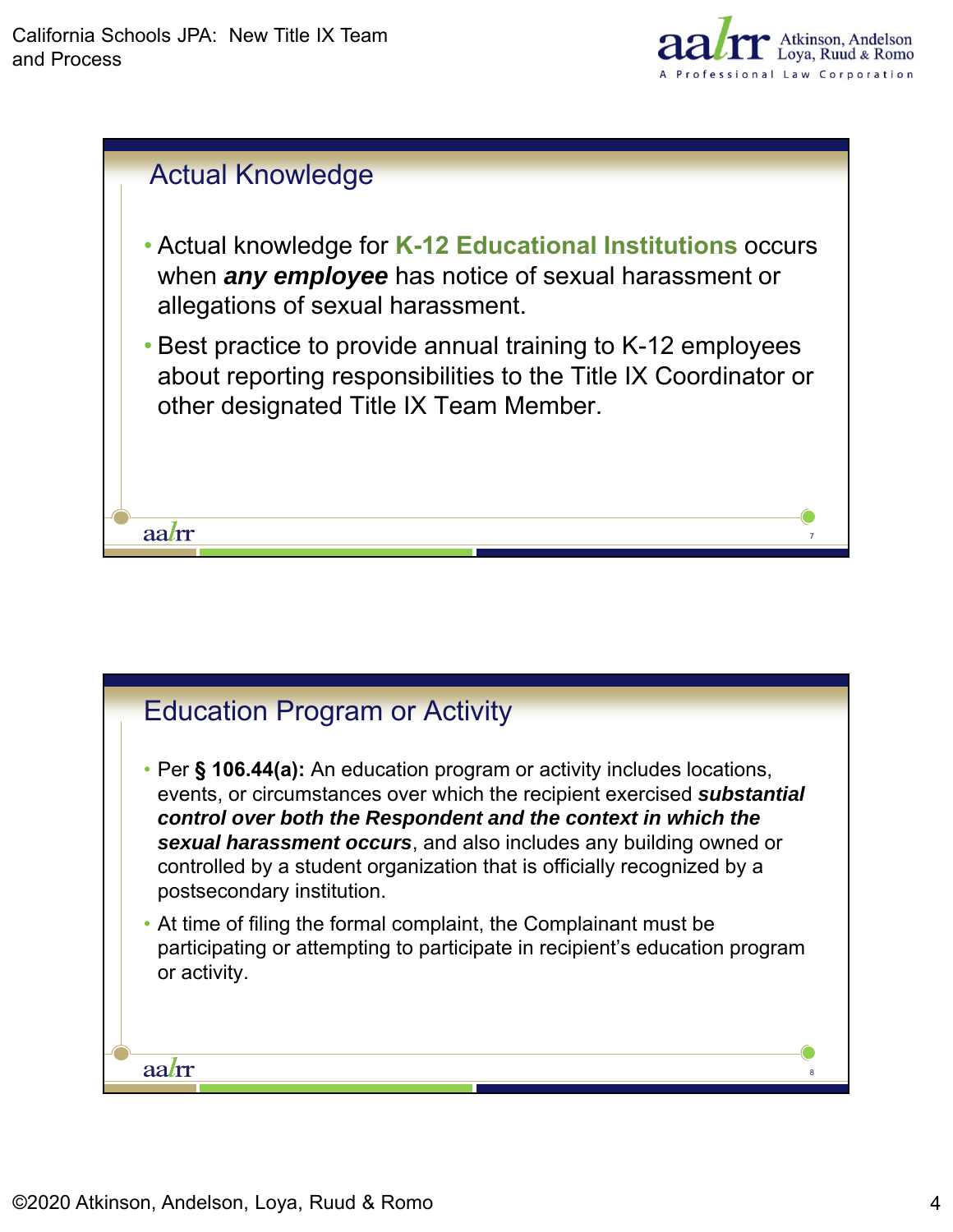



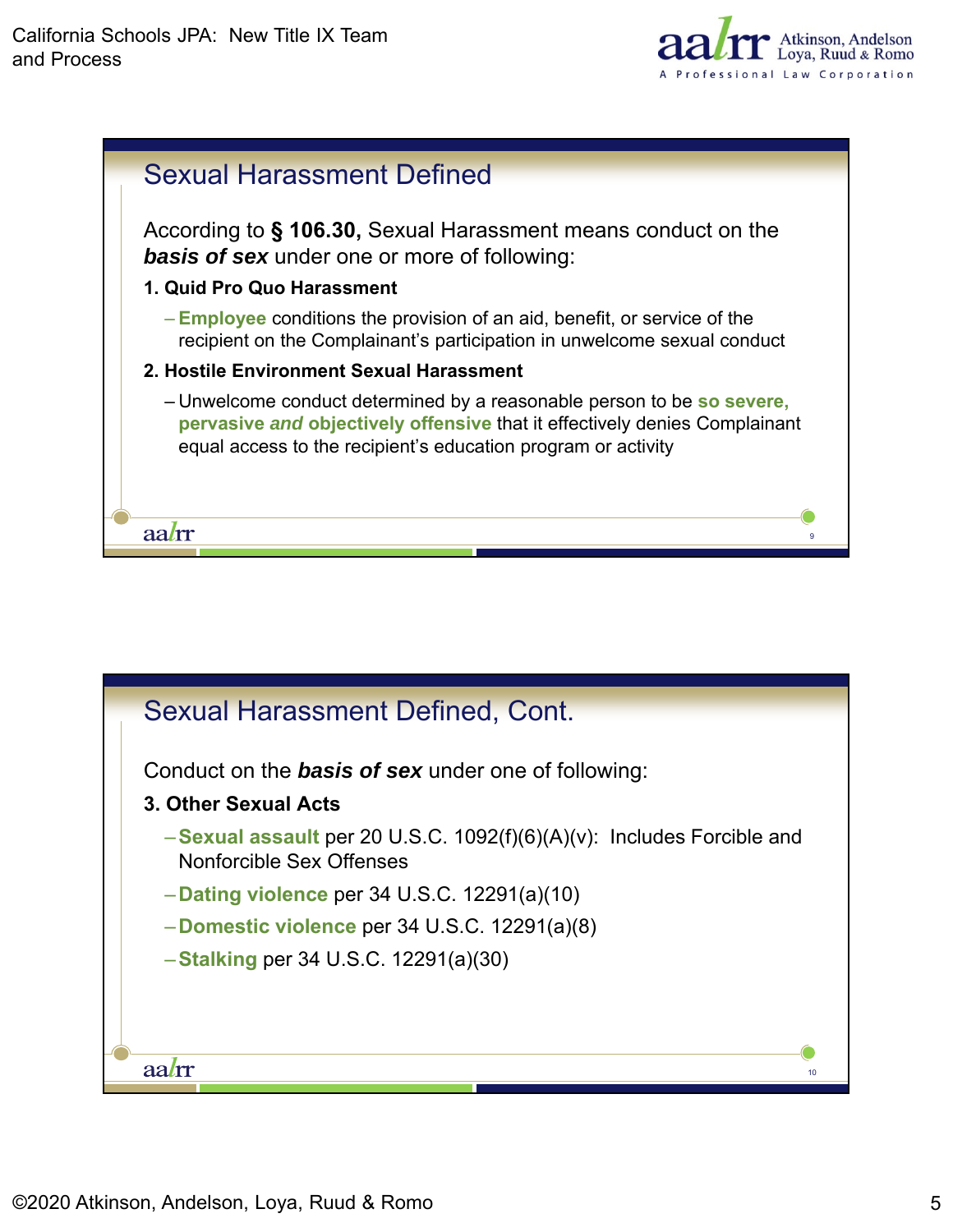



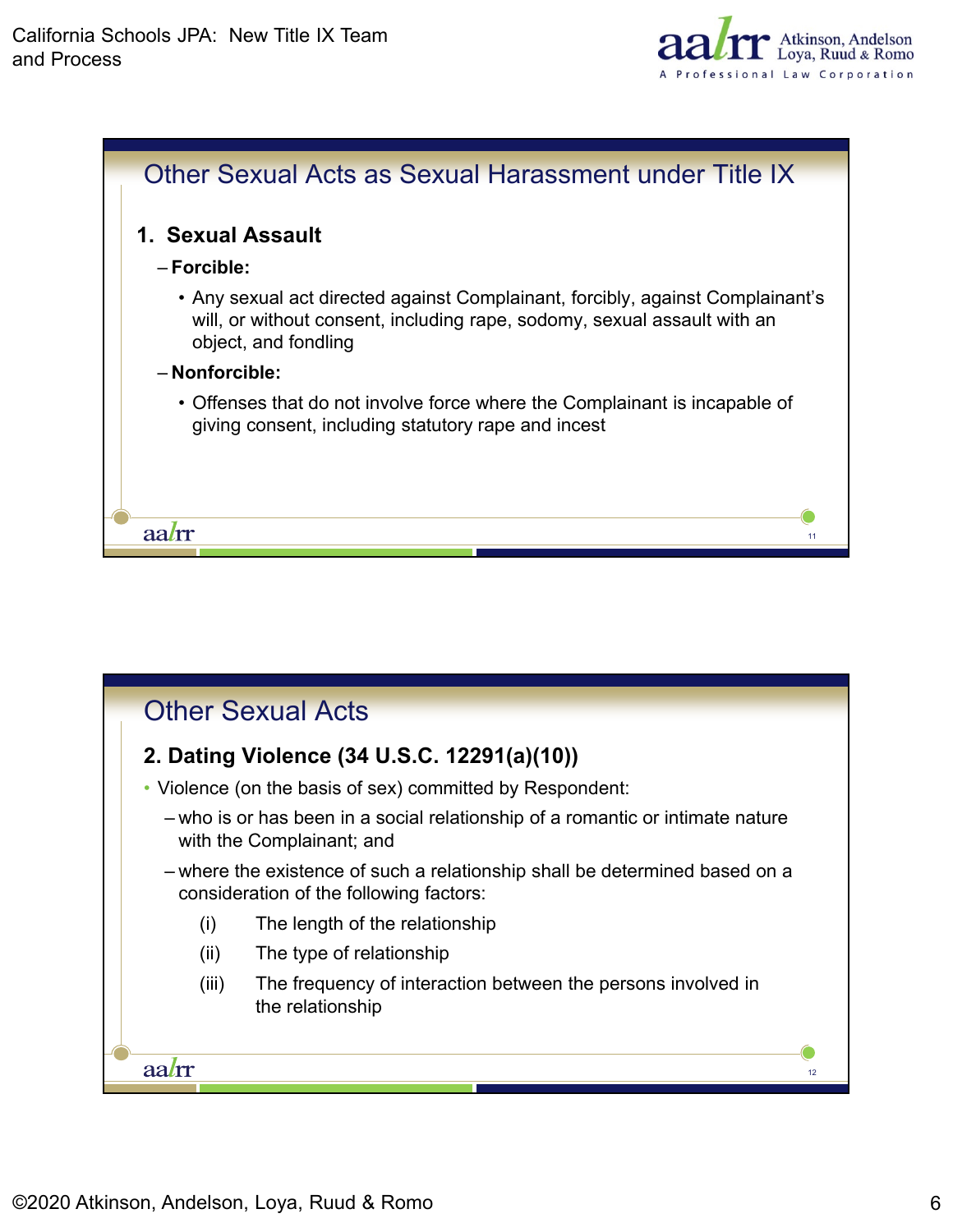



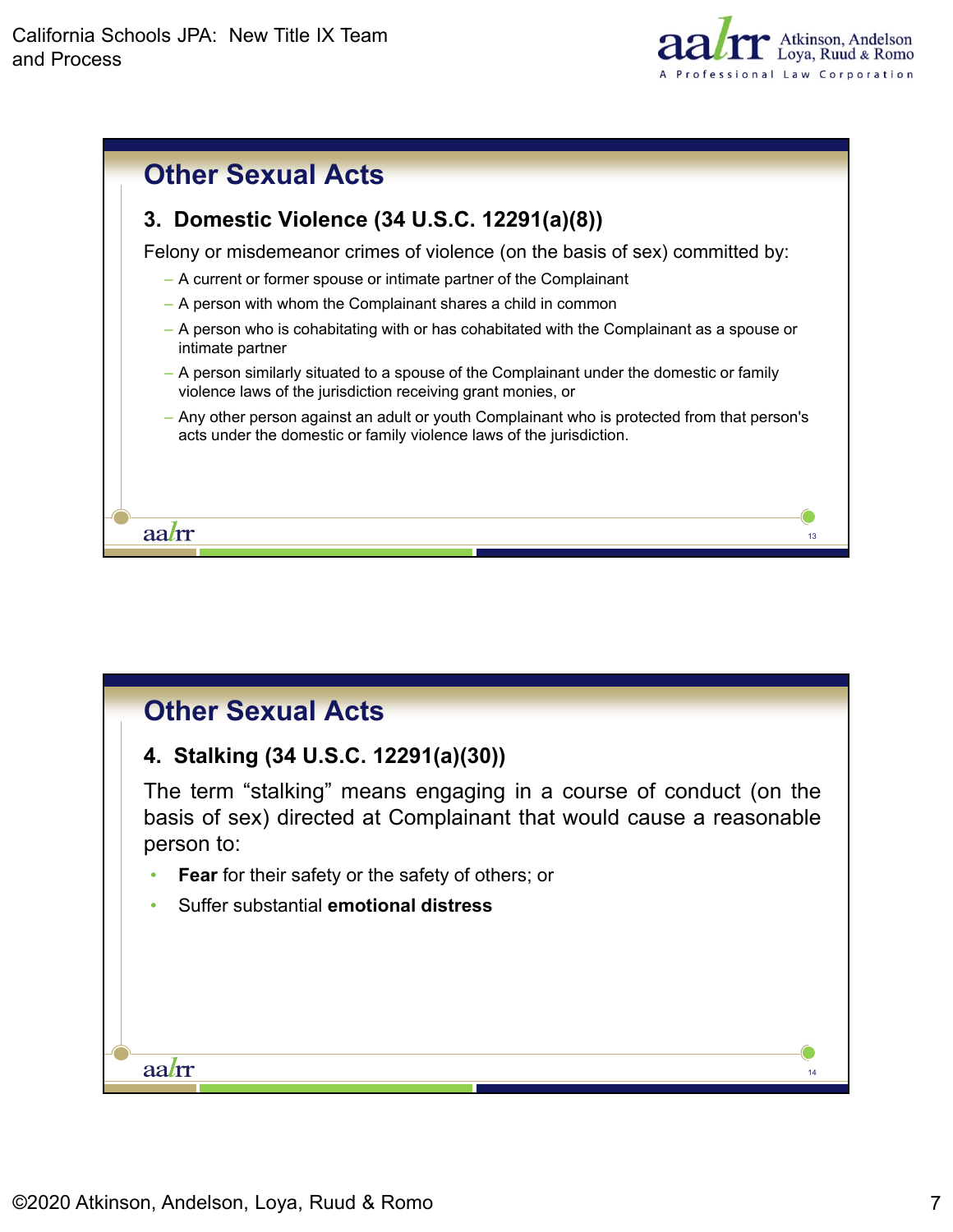



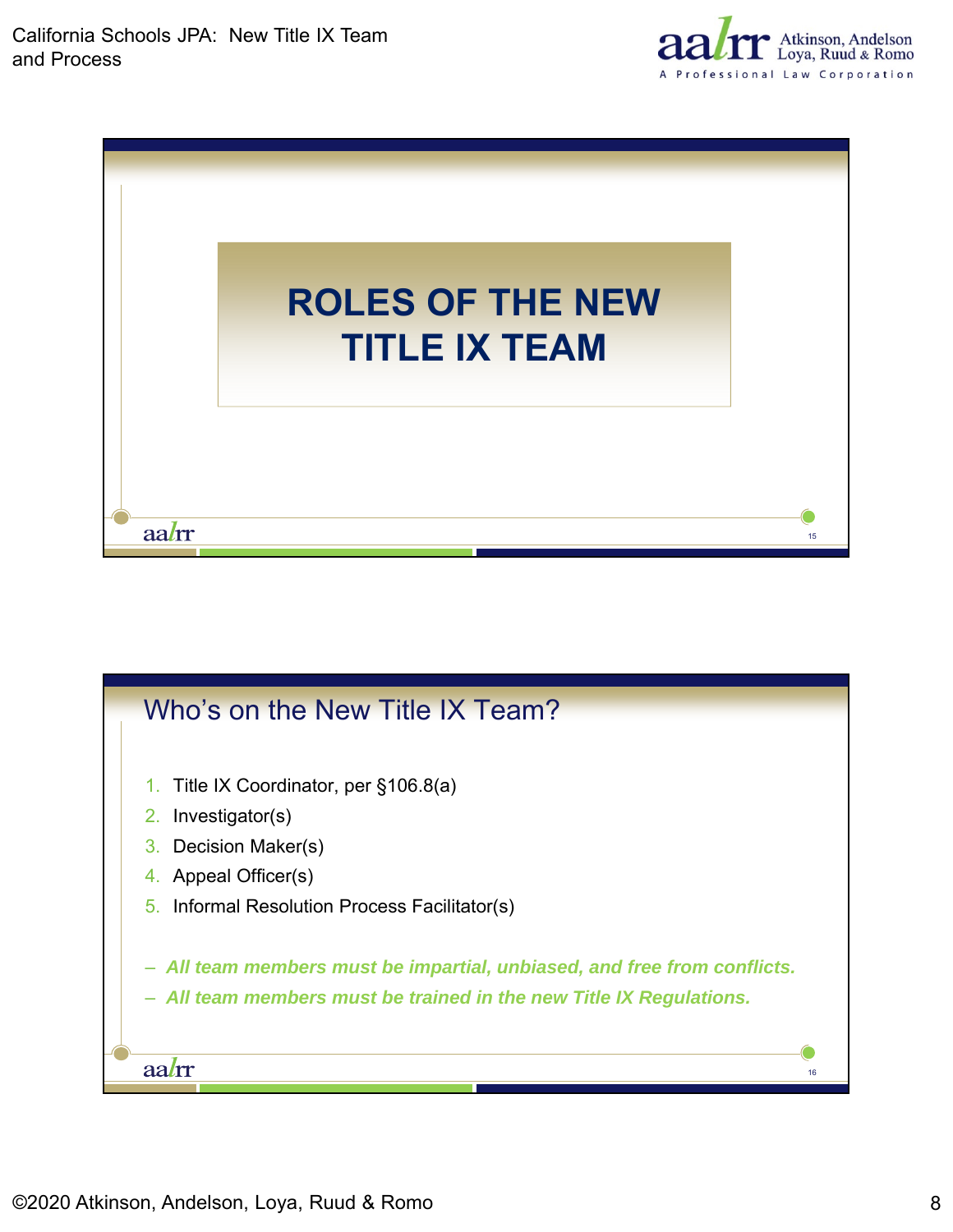California Schools JPA: New Title IX Team and Process





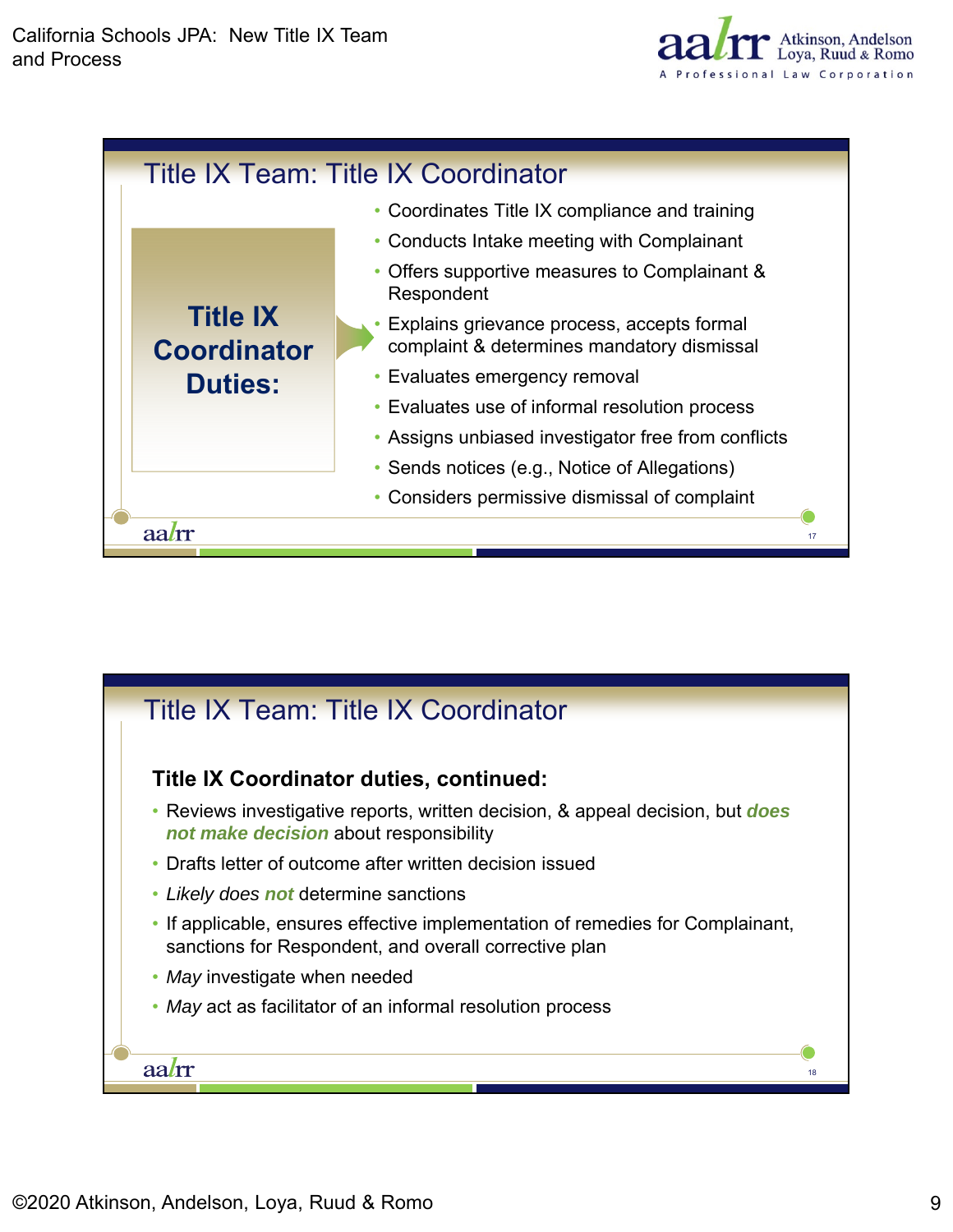



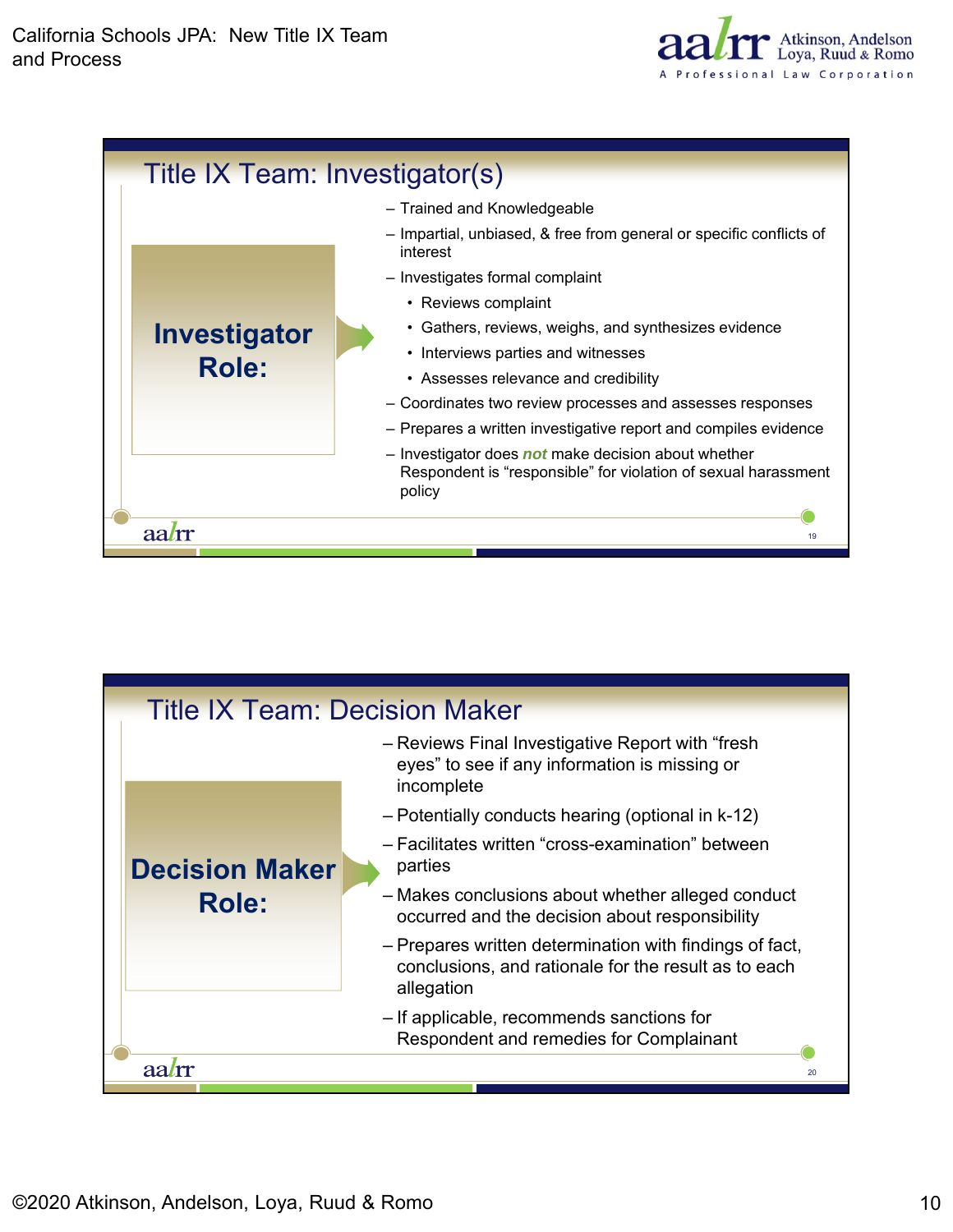



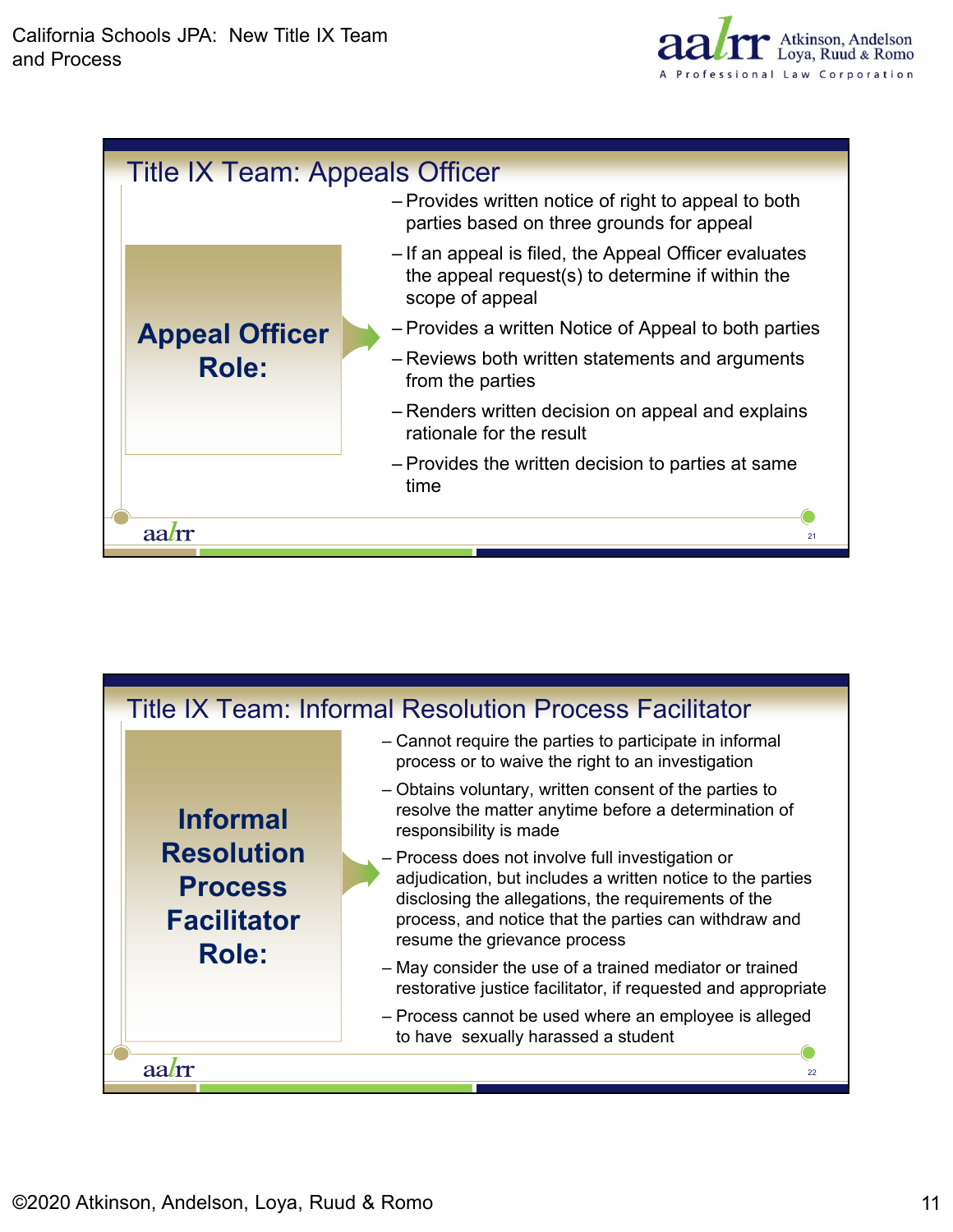

| <b>Title IX Team: Appeals Officer</b> |                                                                                                                              |  |  |
|---------------------------------------|------------------------------------------------------------------------------------------------------------------------------|--|--|
|                                       | - Provides written notice of right to appeal to both<br>parties based on three grounds for appeal                            |  |  |
|                                       | - If an appeal is filed, the Appeal Officer evaluates<br>the appeal request(s) to determine if within the<br>scope of appeal |  |  |
| <b>Appeal Officer</b>                 | - Provides a written Notice of Appeal to both parties                                                                        |  |  |
| Role:                                 | - Reviews both written statements and arguments<br>from the parties                                                          |  |  |
|                                       | - Renders written decision on appeal and explains<br>rationale for the result                                                |  |  |
|                                       | - Provides the written decision to parties at same<br>time                                                                   |  |  |
|                                       |                                                                                                                              |  |  |
| aal                                   | 21                                                                                                                           |  |  |

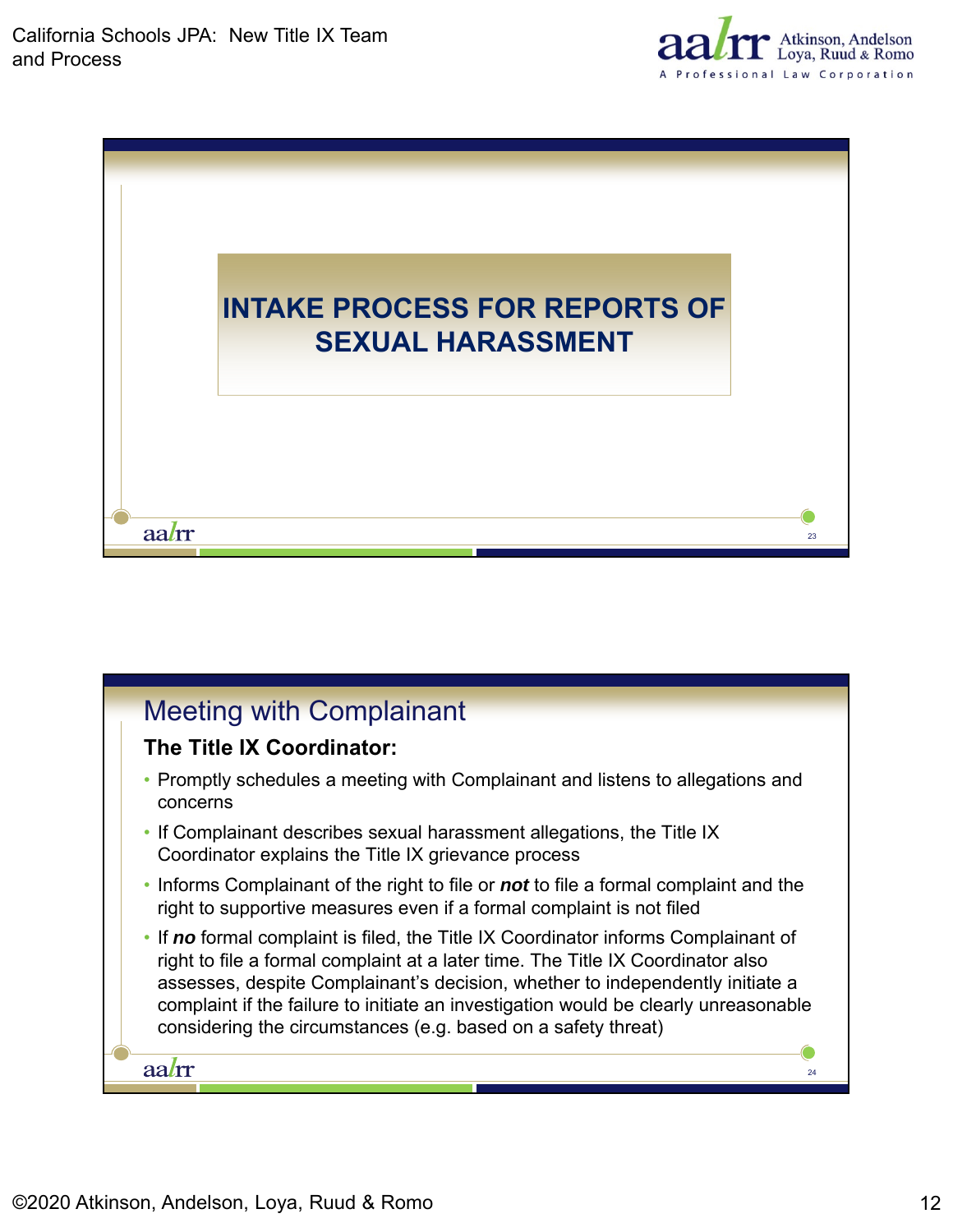California Schools JPA: New Title IX Team and Process





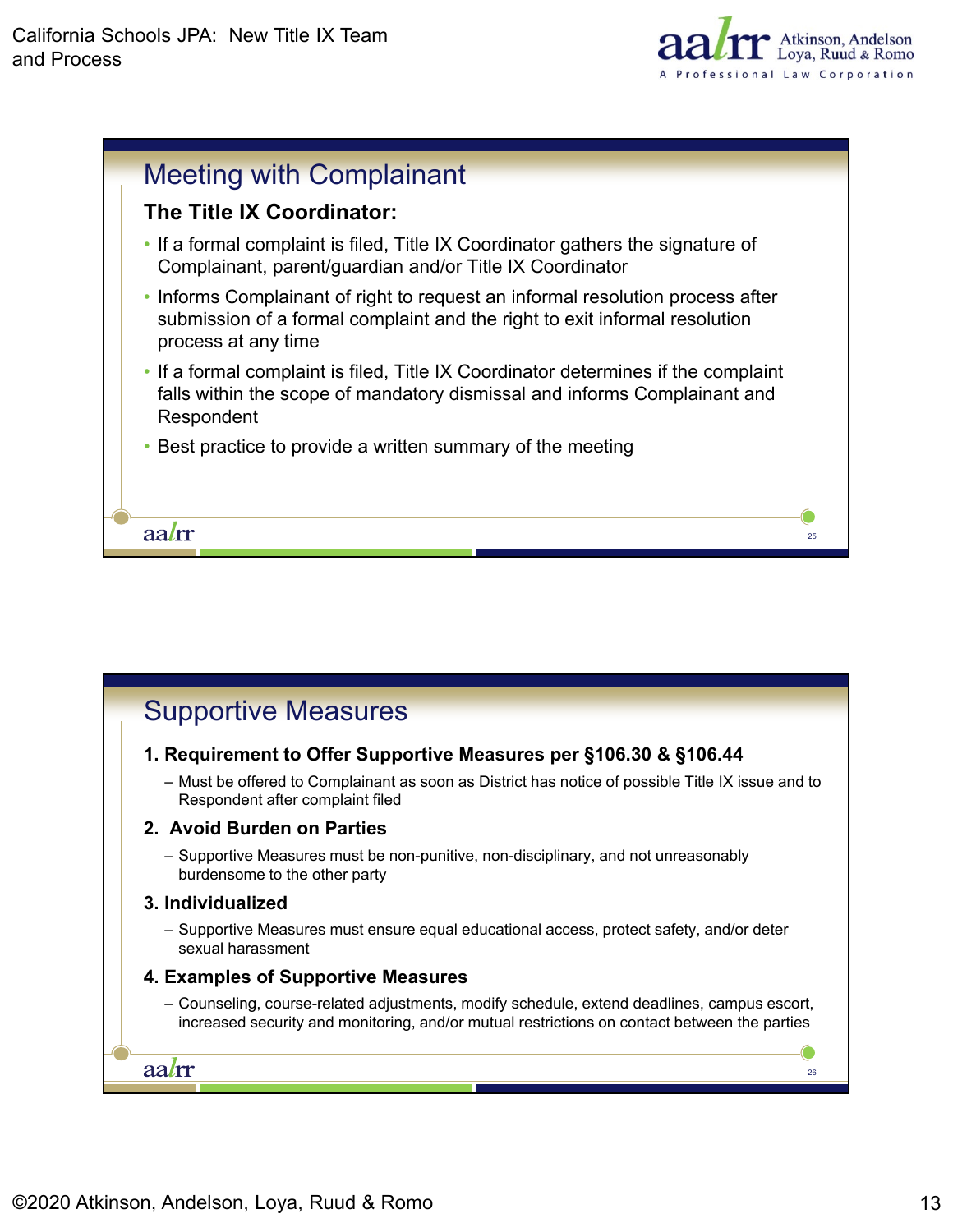



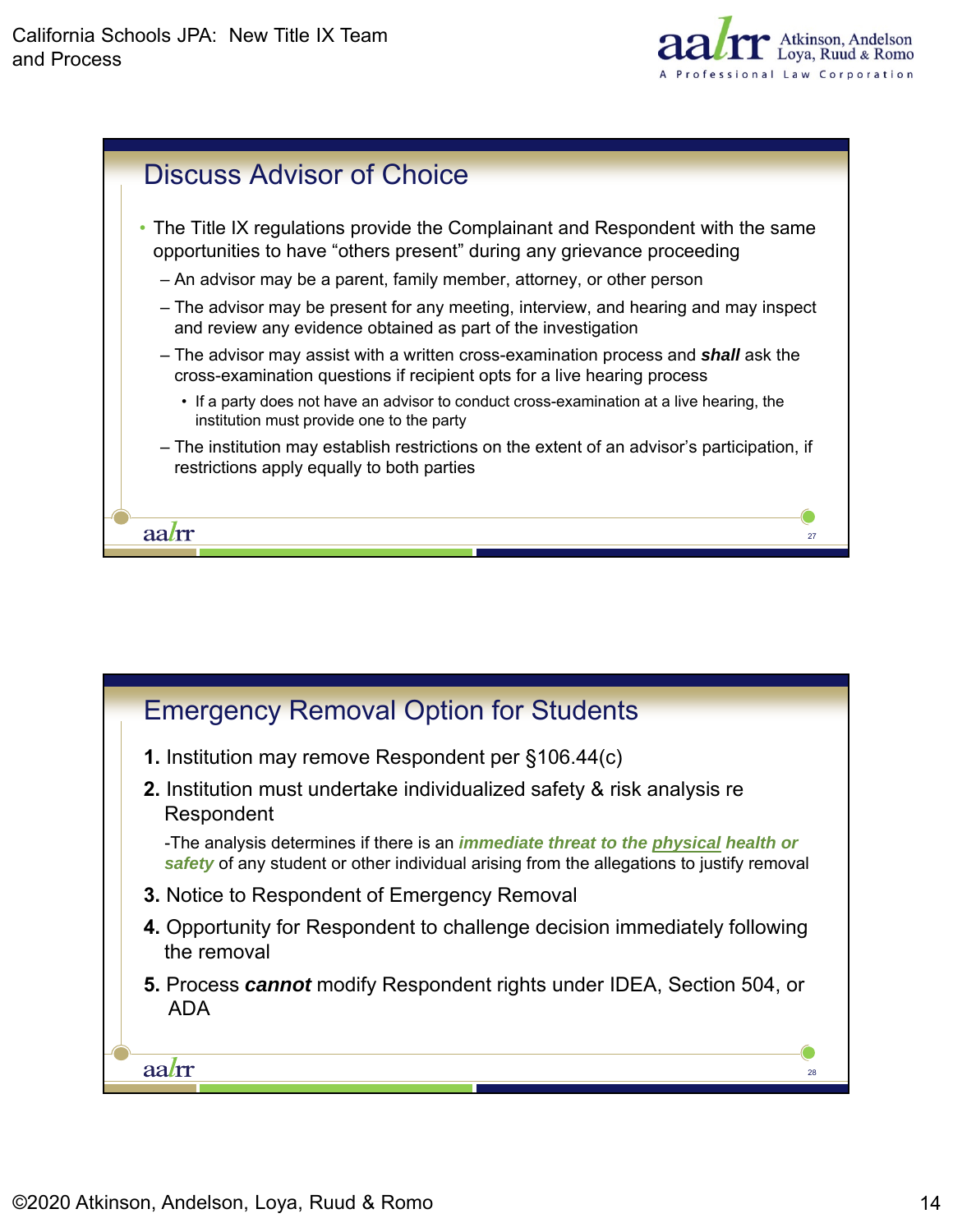



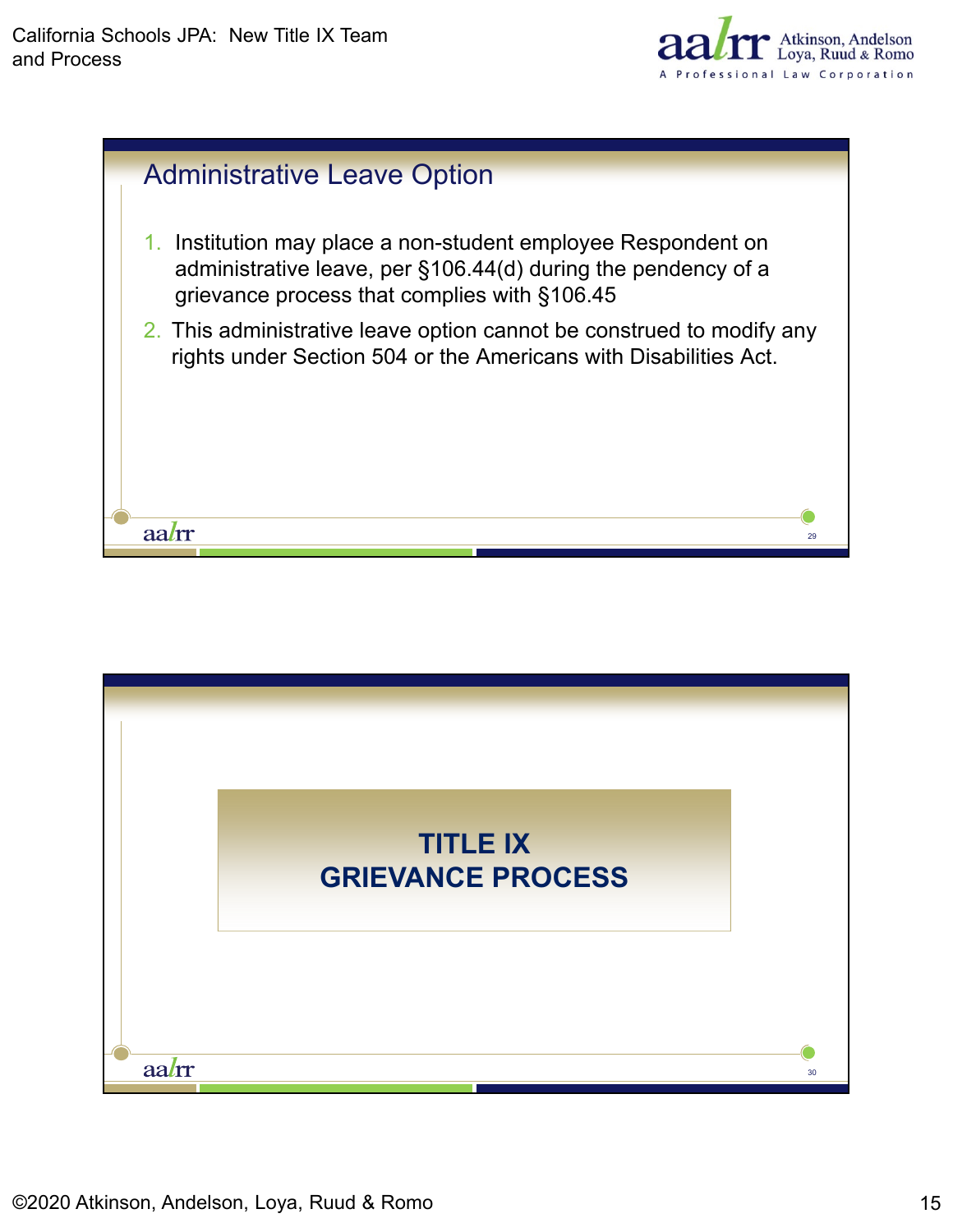



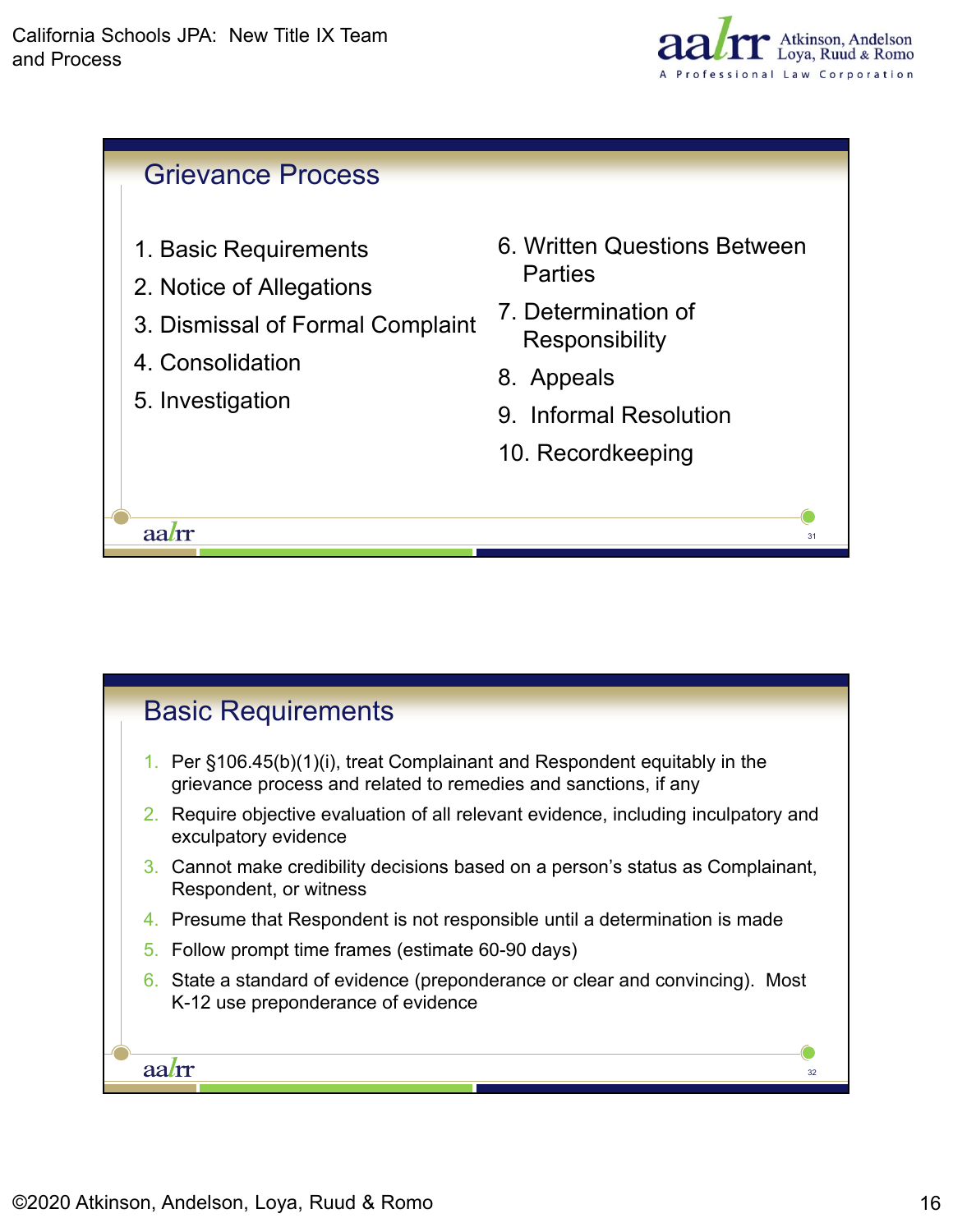



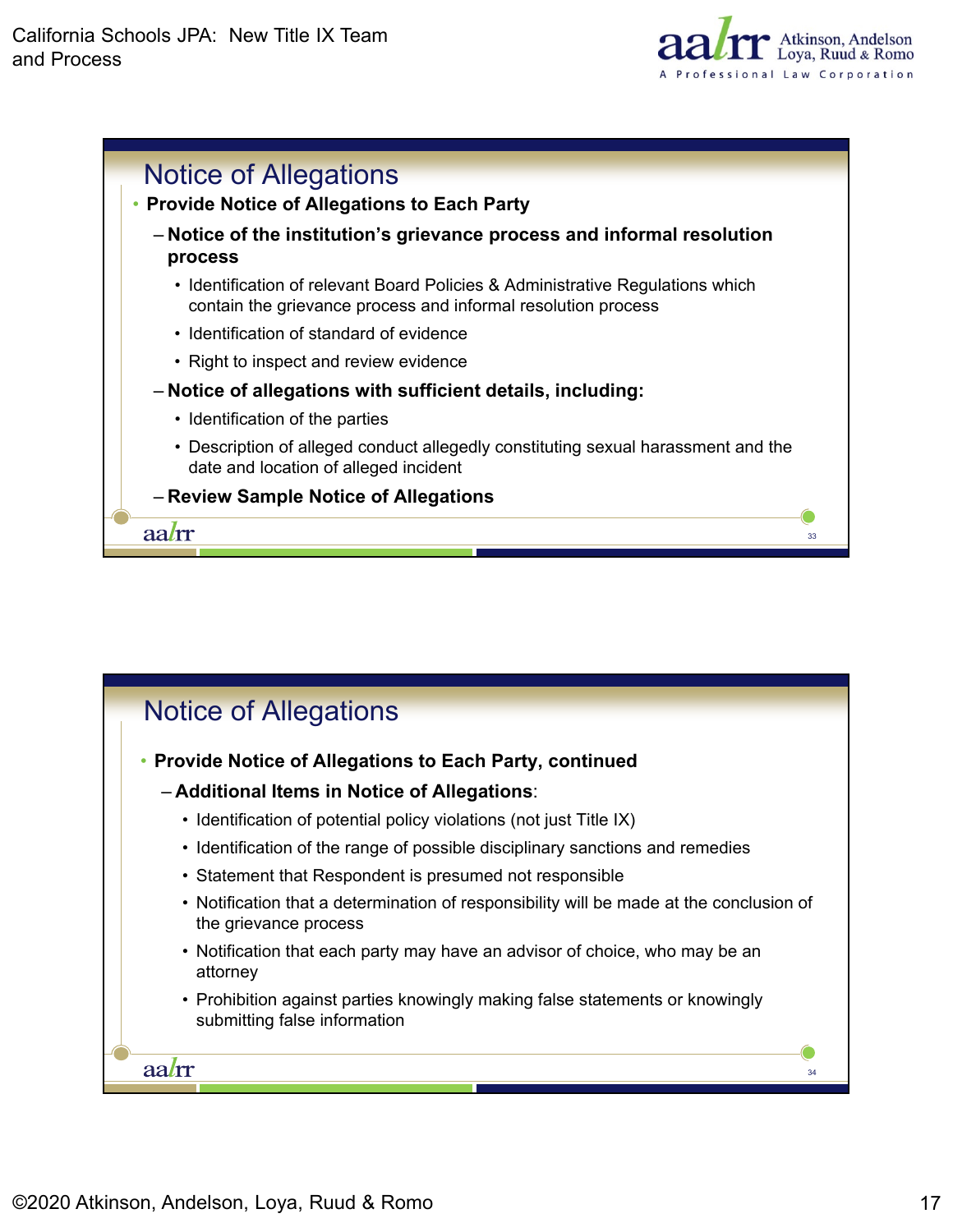



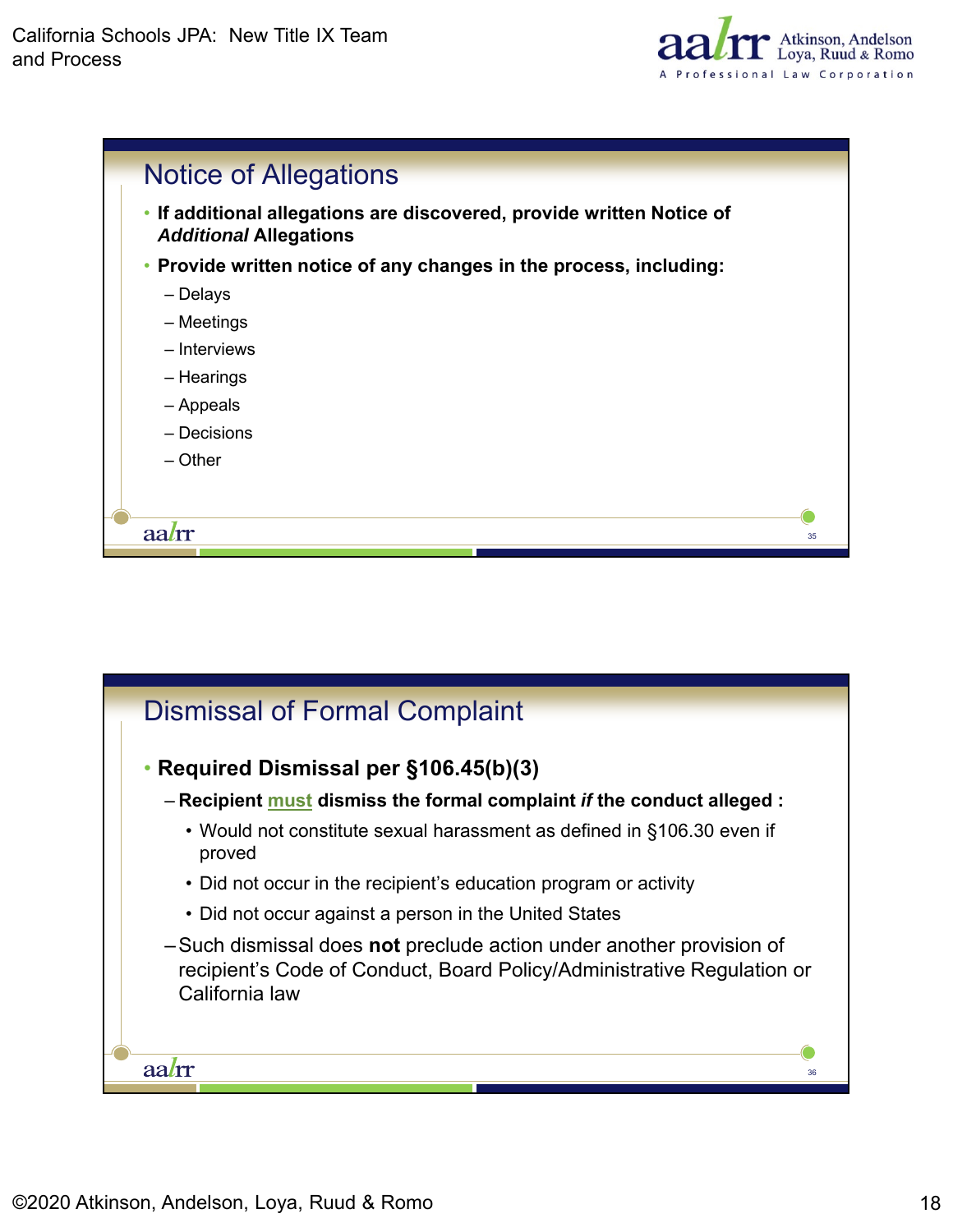



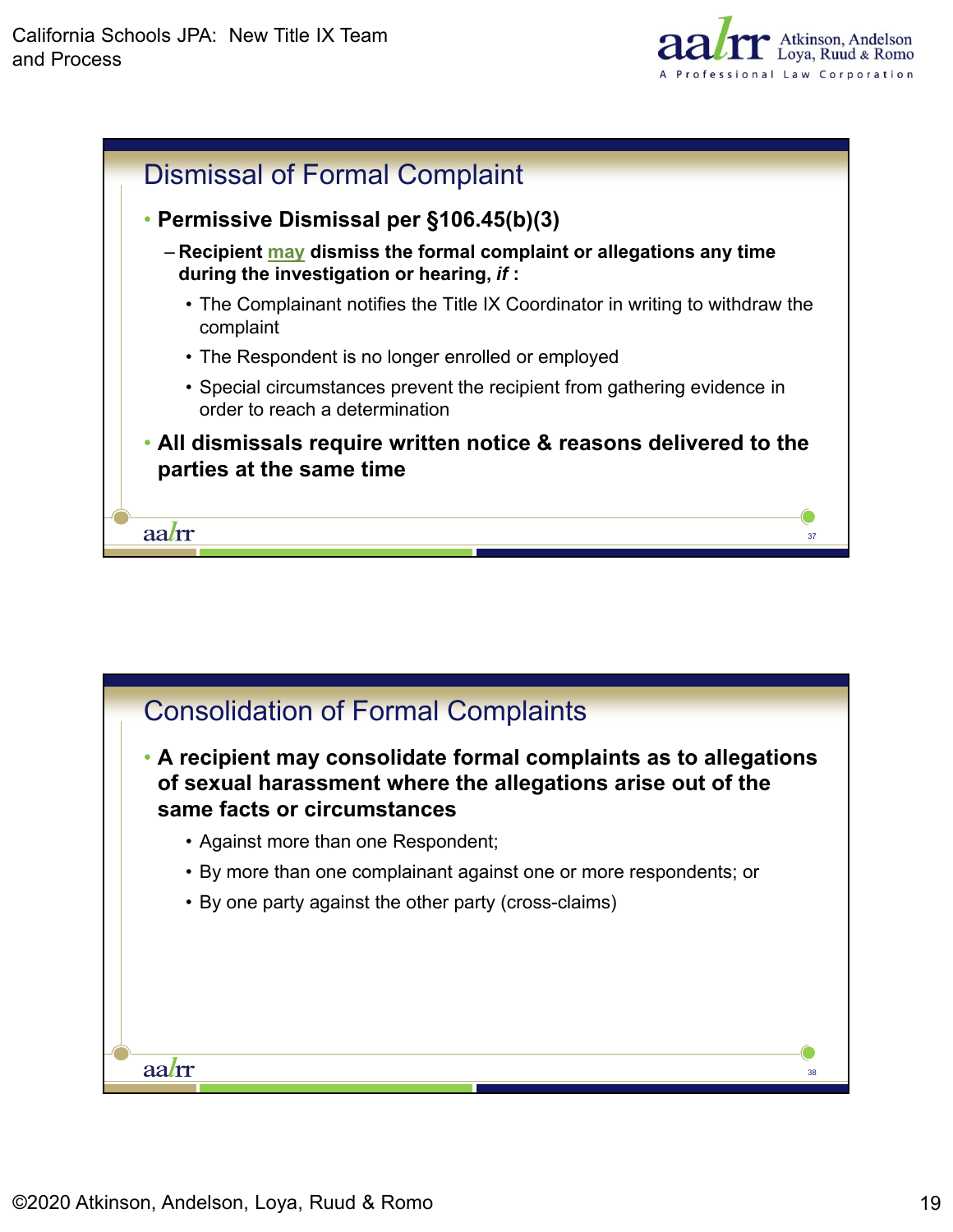



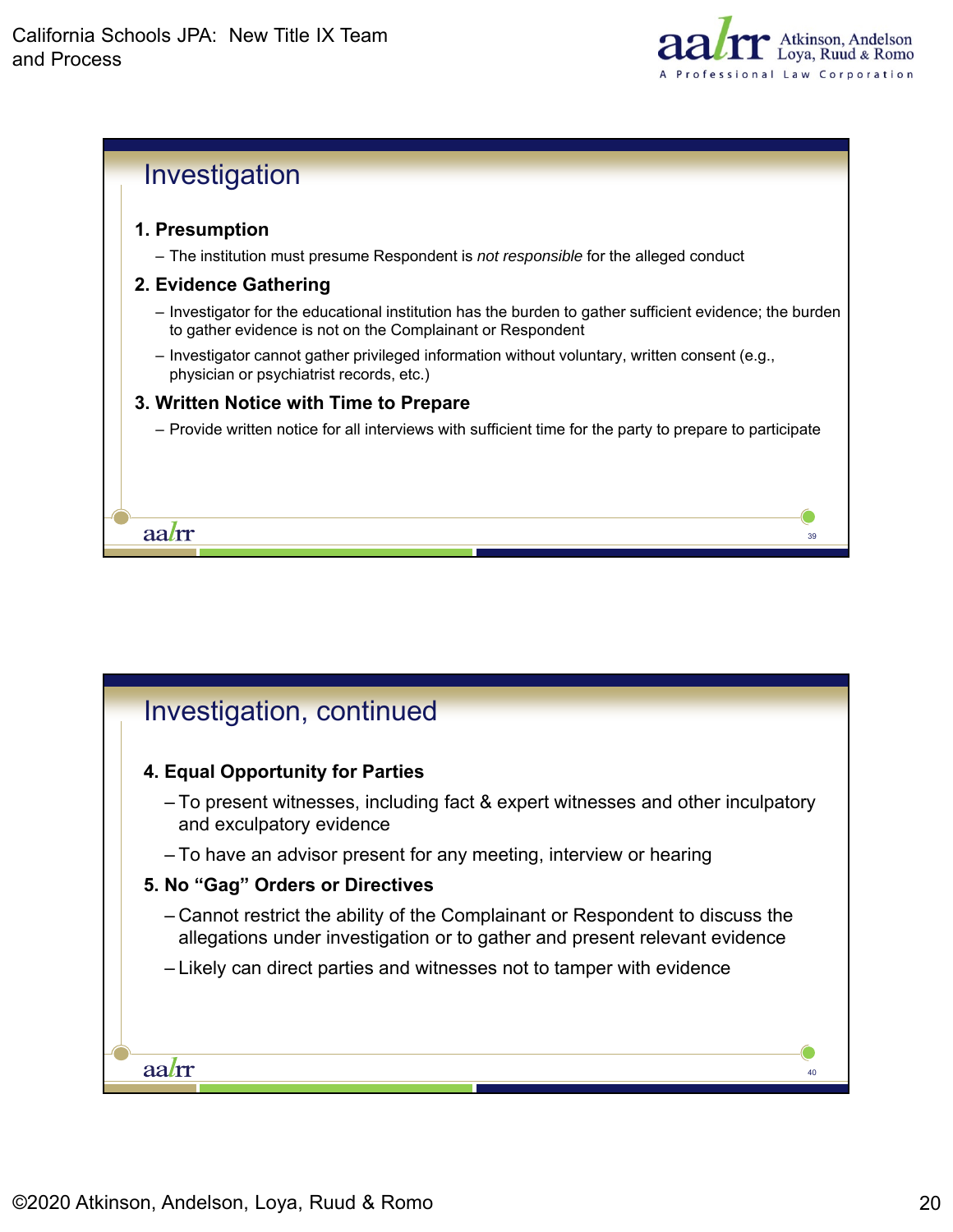



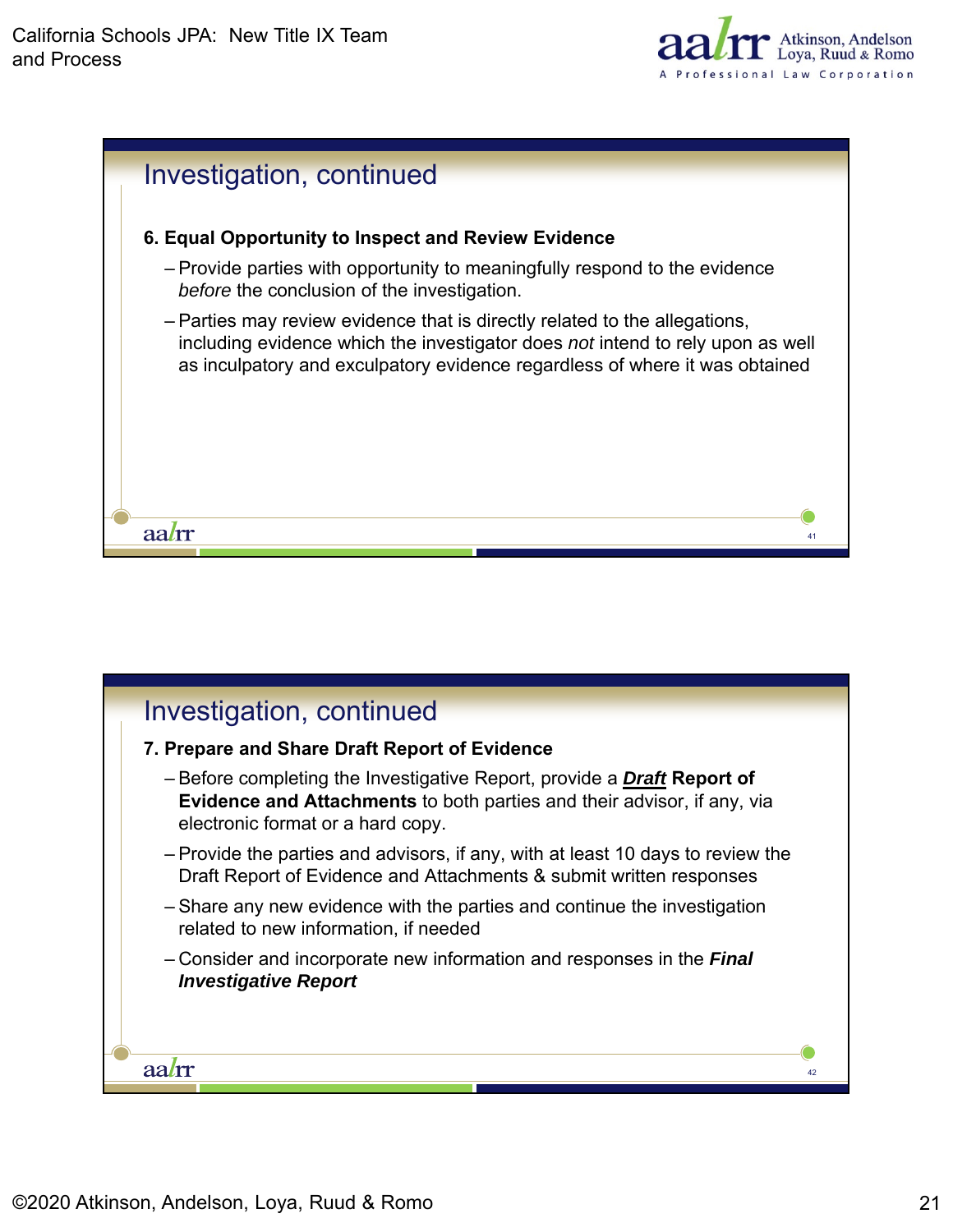



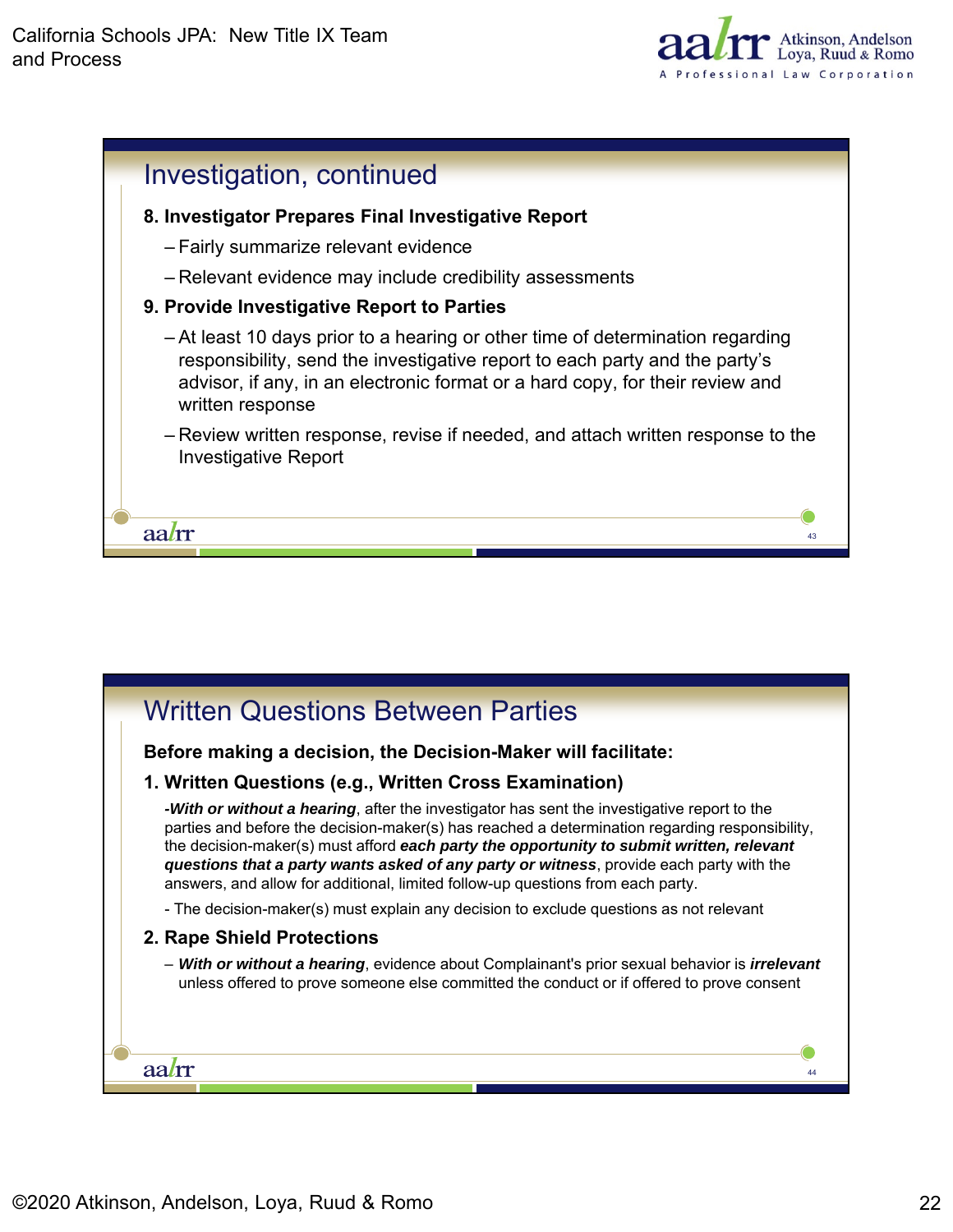



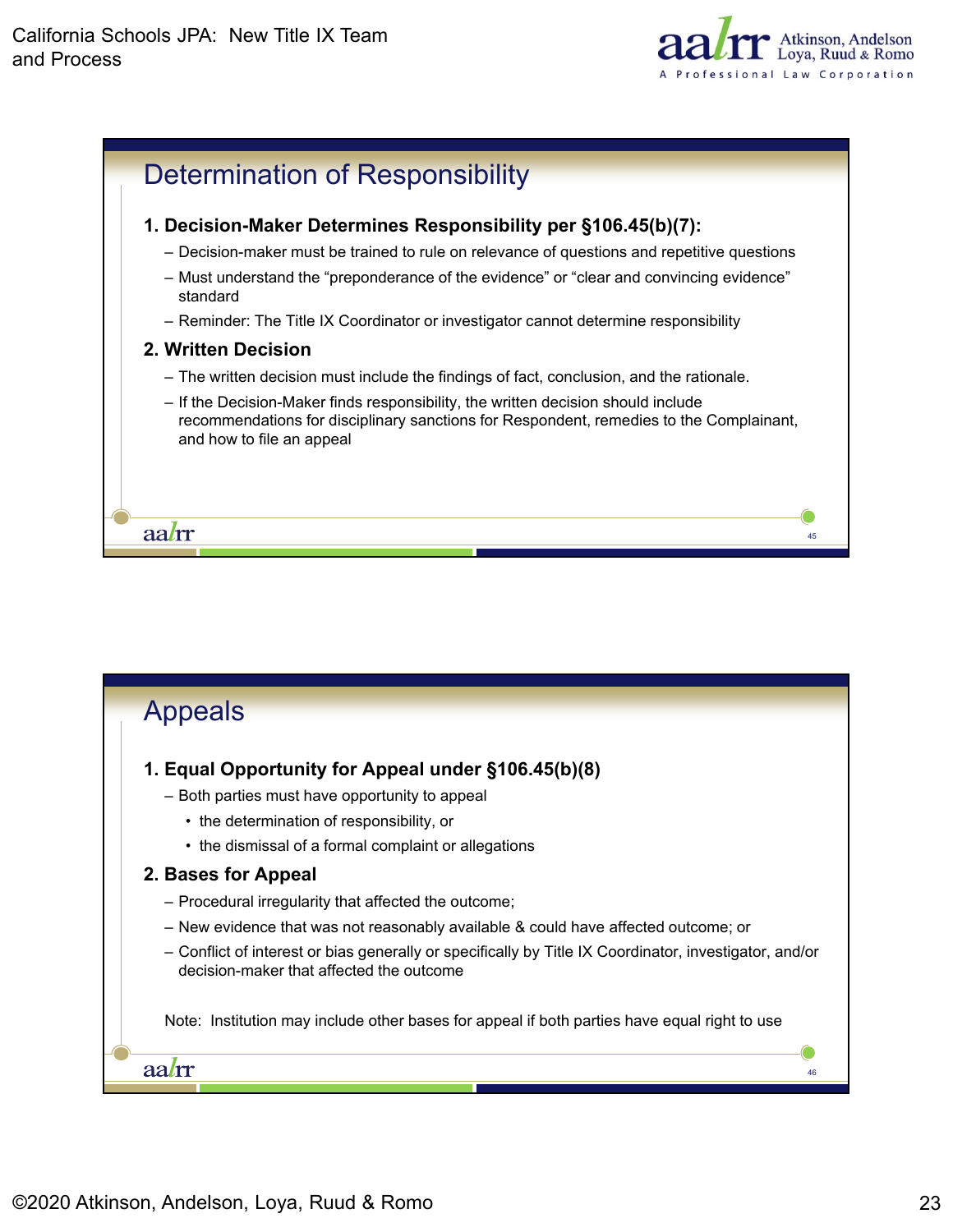



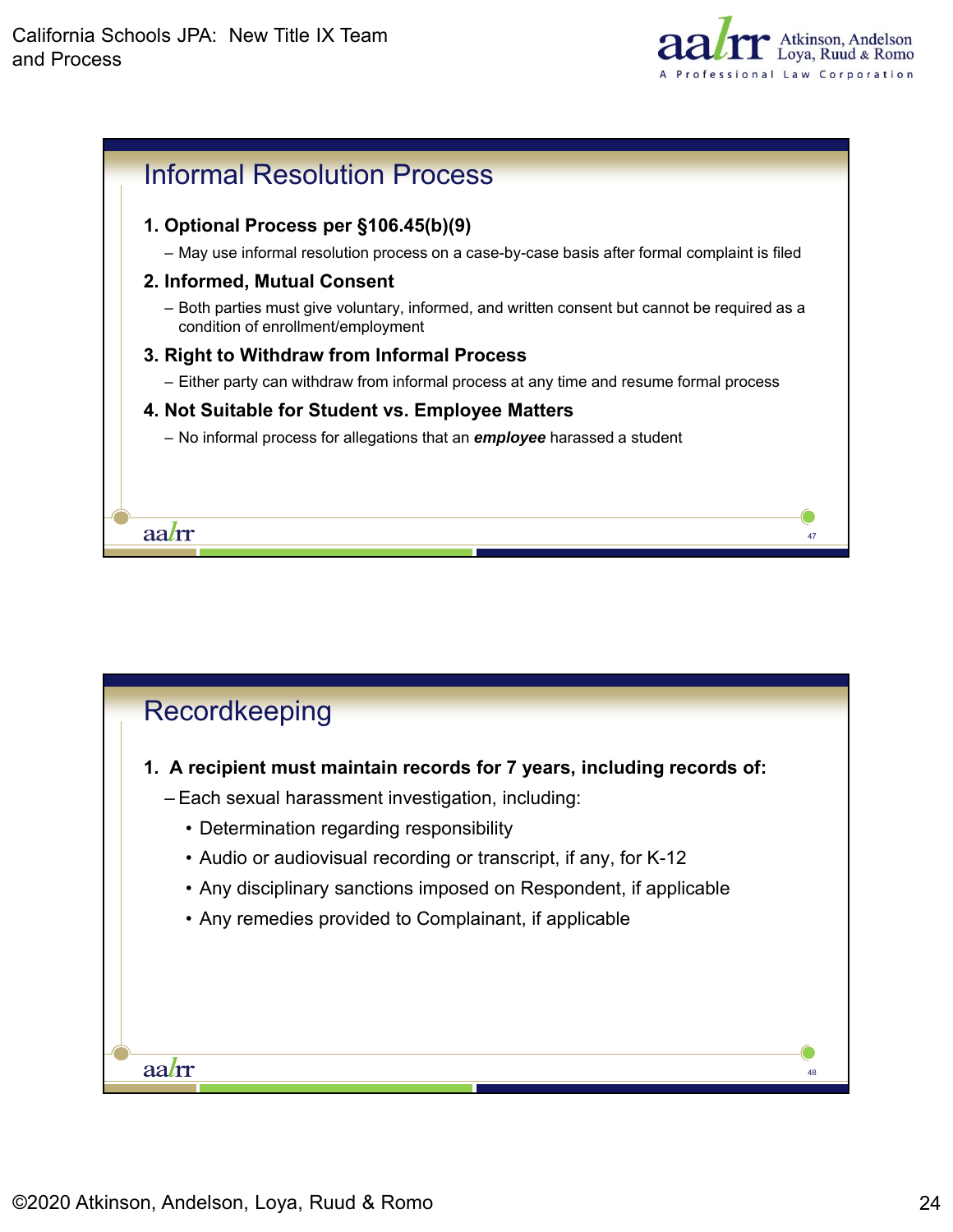



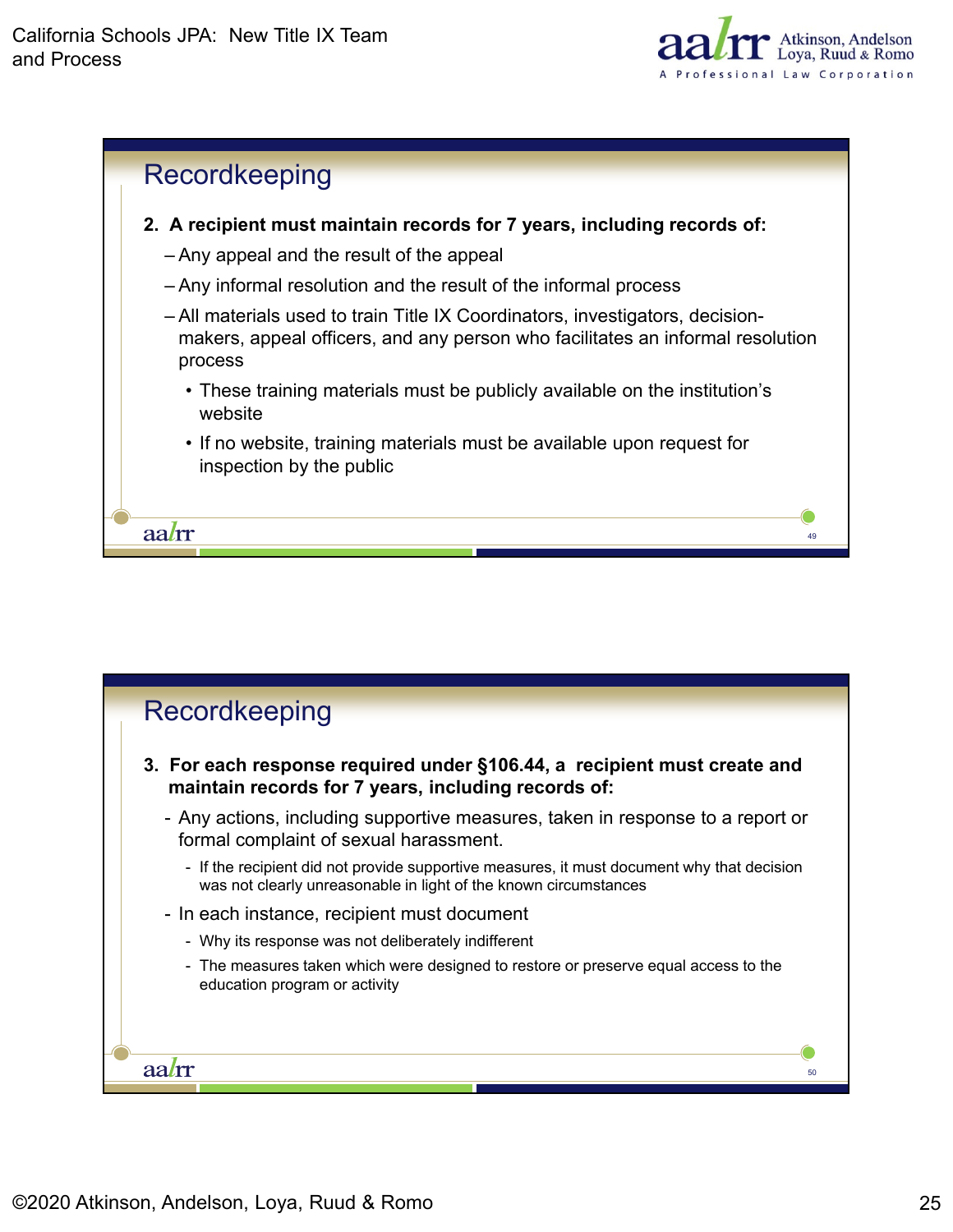



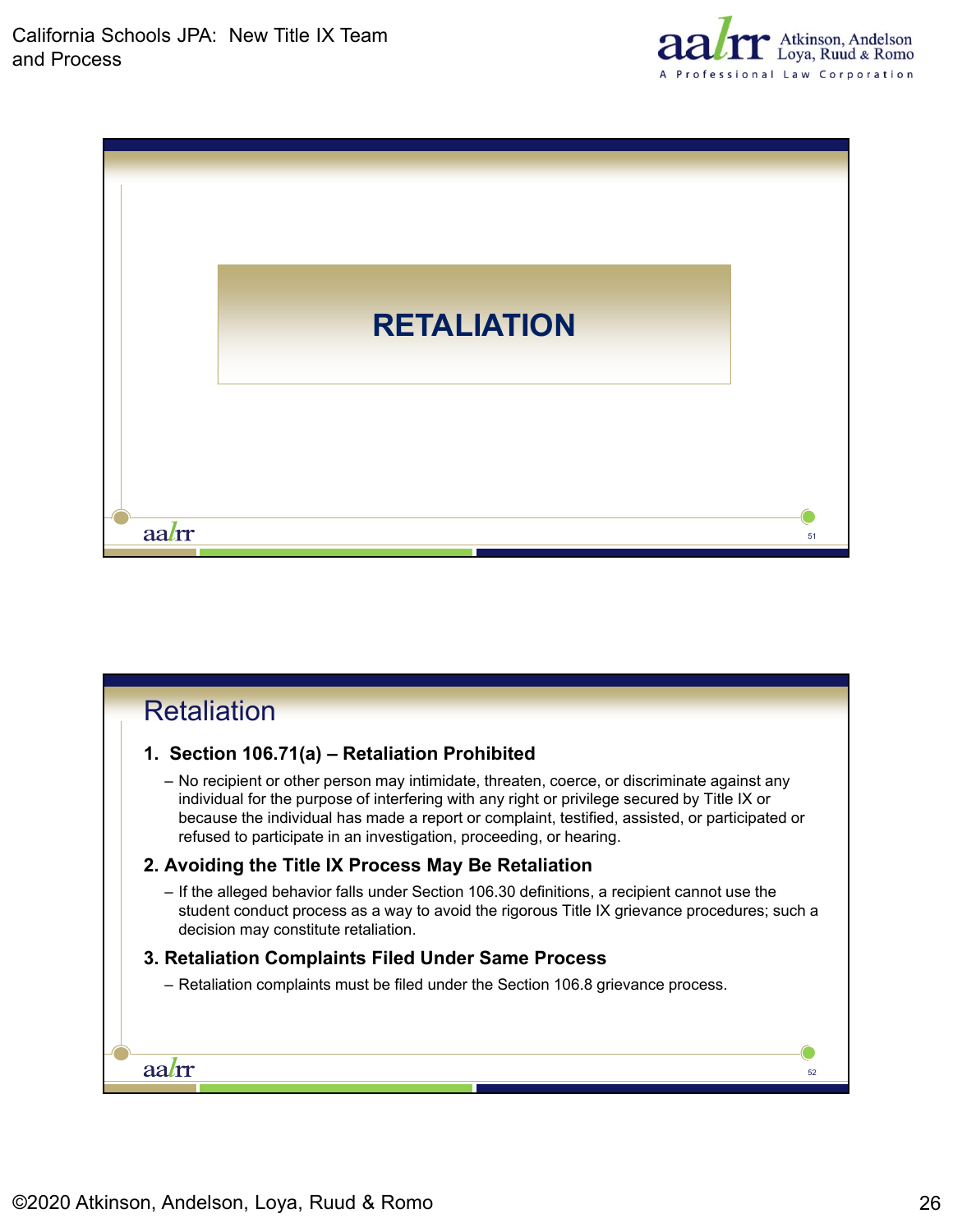



## **Retaliation 1. Section 106.71(a) – Retaliation Prohibited** – No recipient or other person may intimidate, threaten, coerce, or discriminate against any individual for the purpose of interfering with any right or privilege secured by Title IX or because the individual has made a report or complaint, testified, assisted, or participated or refused to participate in an investigation, proceeding, or hearing. **2. Avoiding the Title IX Process May Be Retaliation** – If the alleged behavior falls under Section 106.30 definitions, a recipient cannot use the student conduct process as a way to avoid the rigorous Title IX grievance procedures; such a decision may constitute retaliation. **3. Retaliation Complaints Filed Under Same Process** – Retaliation complaints must be filed under the Section 106.8 grievance process. aalrr 52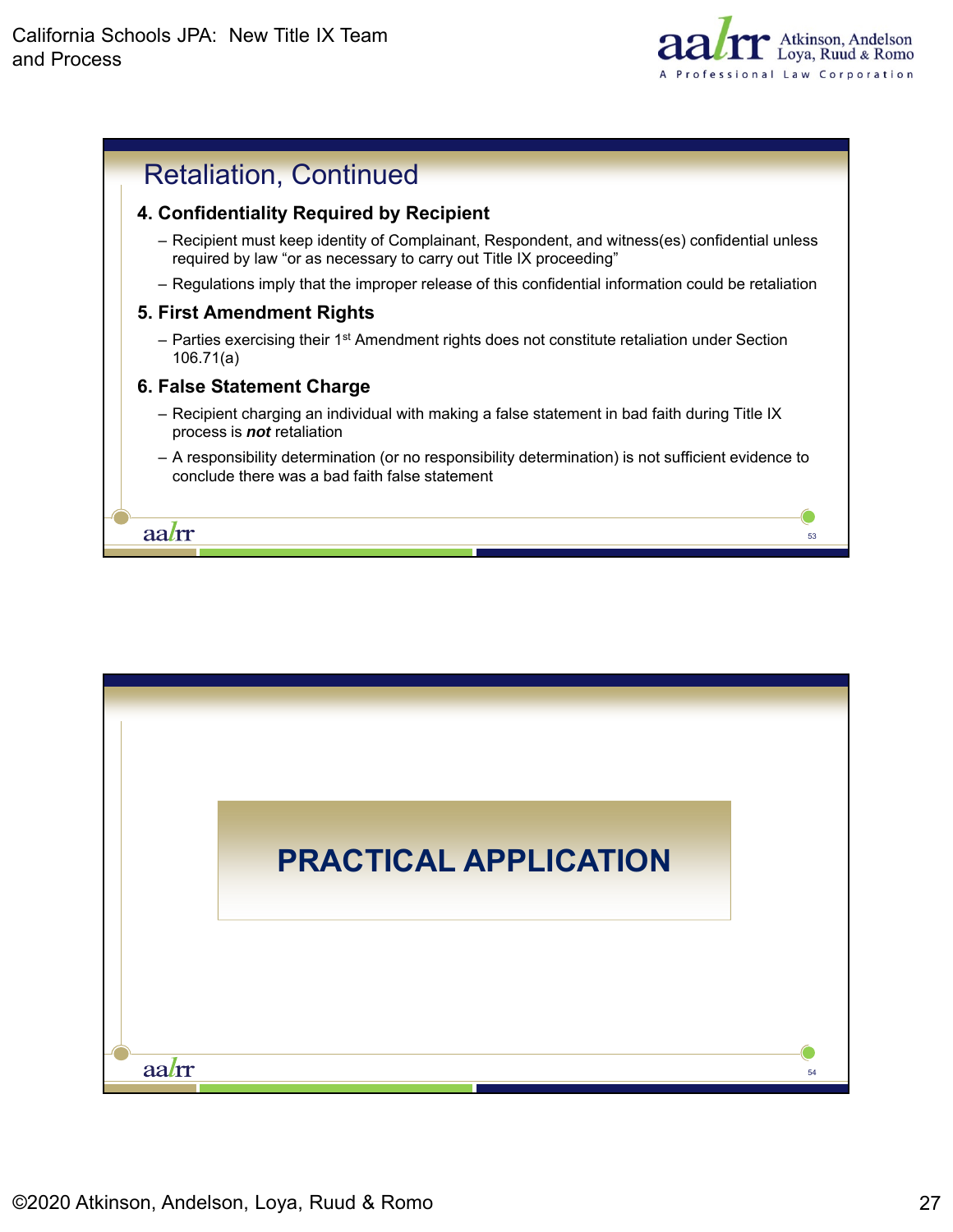



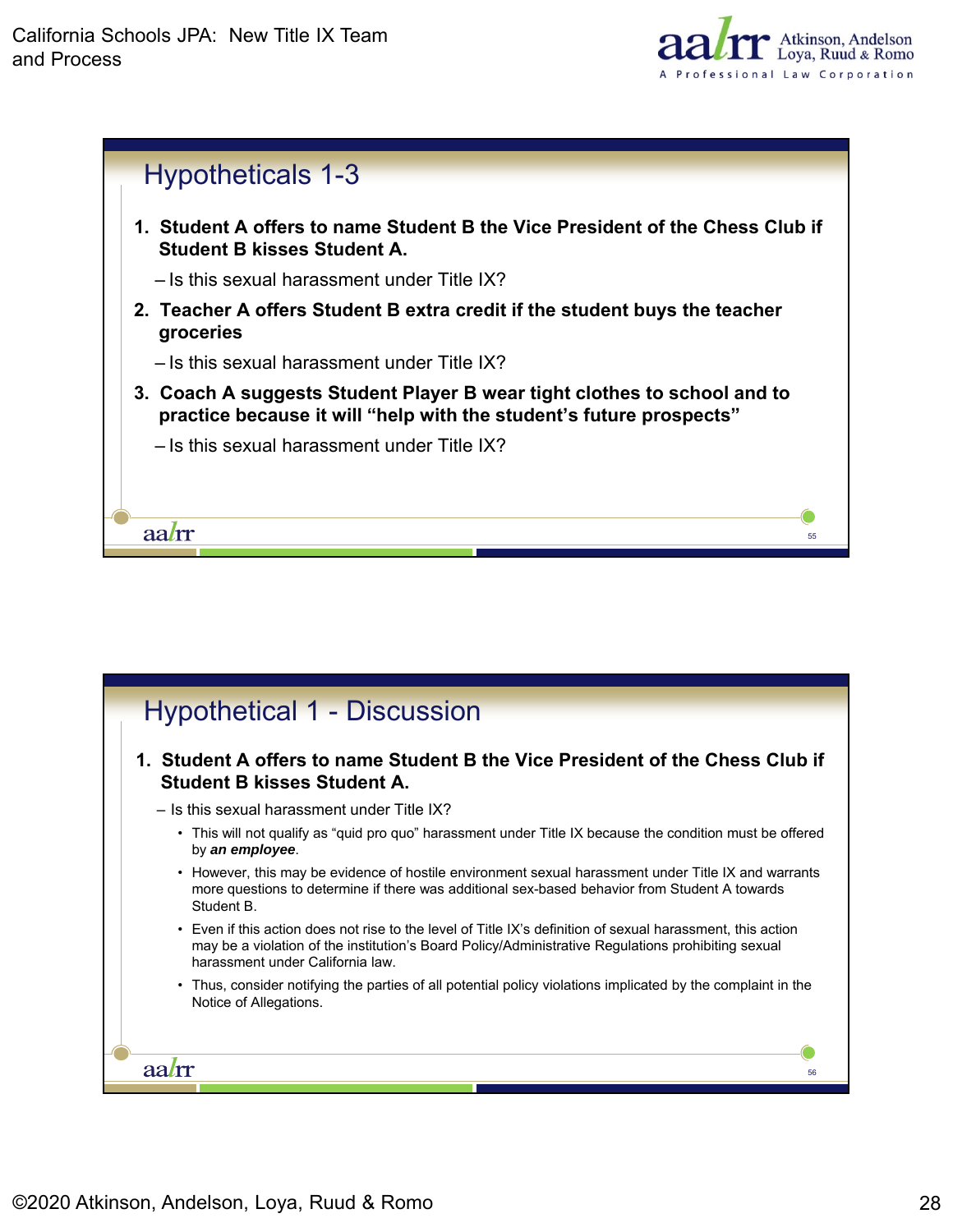



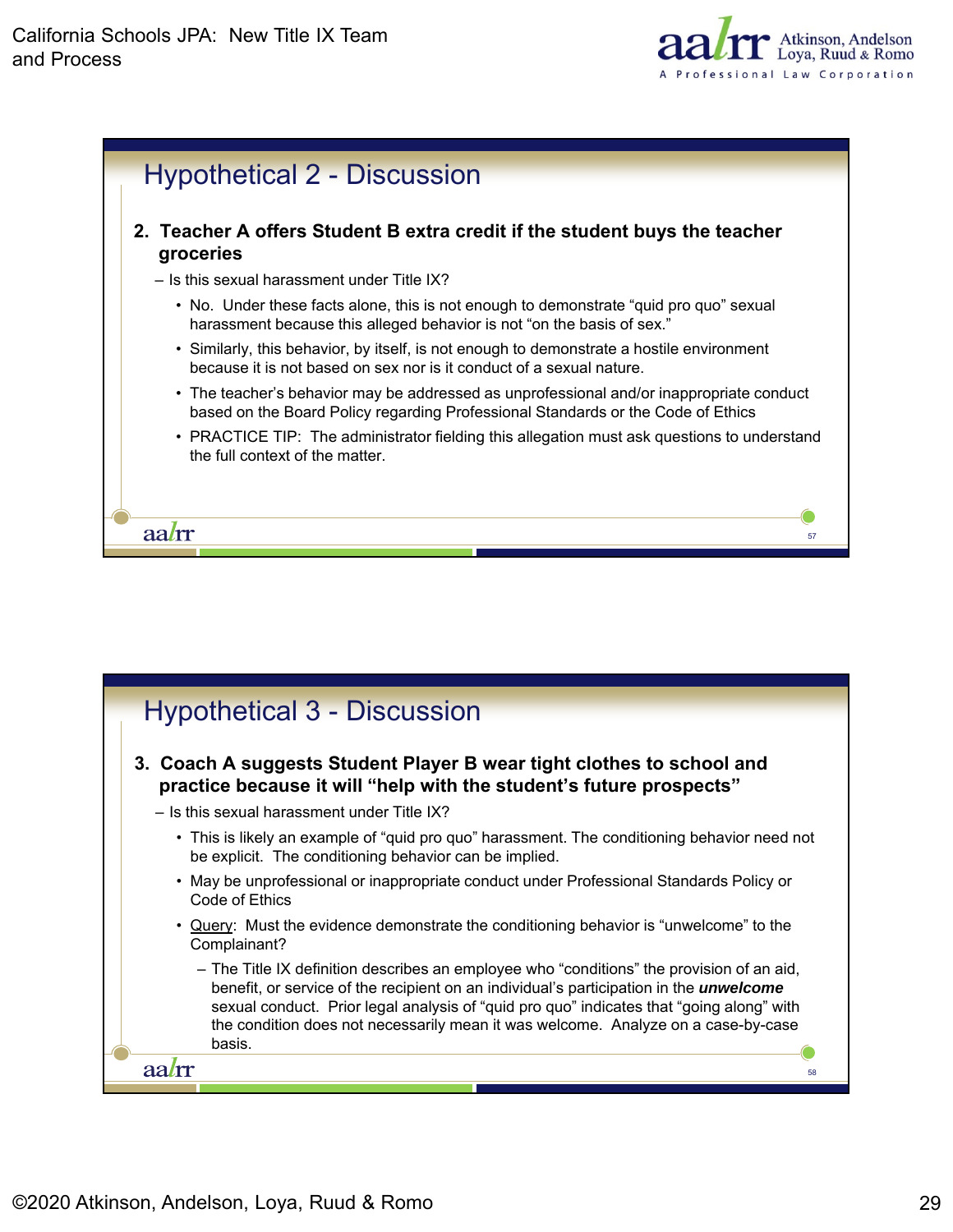



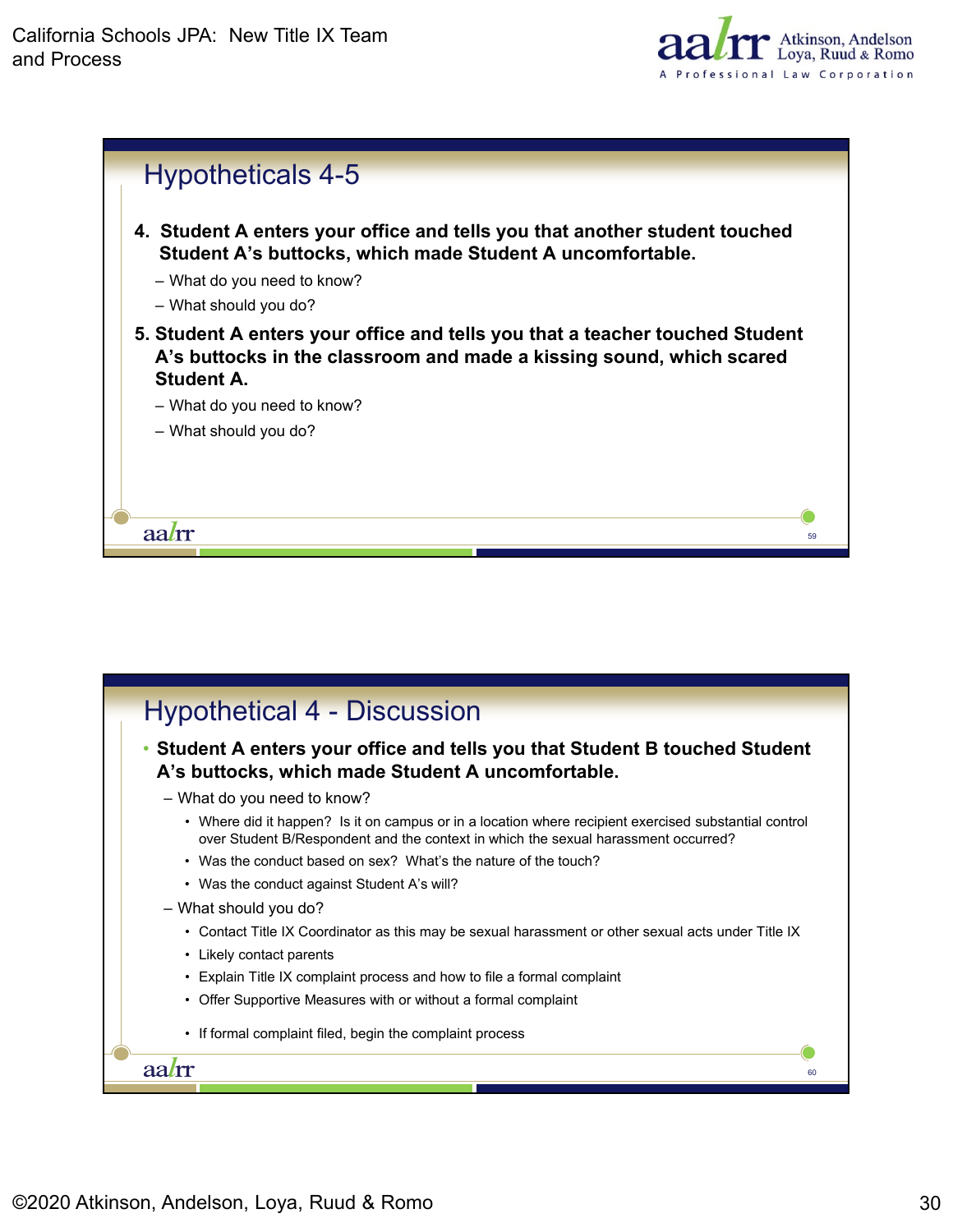



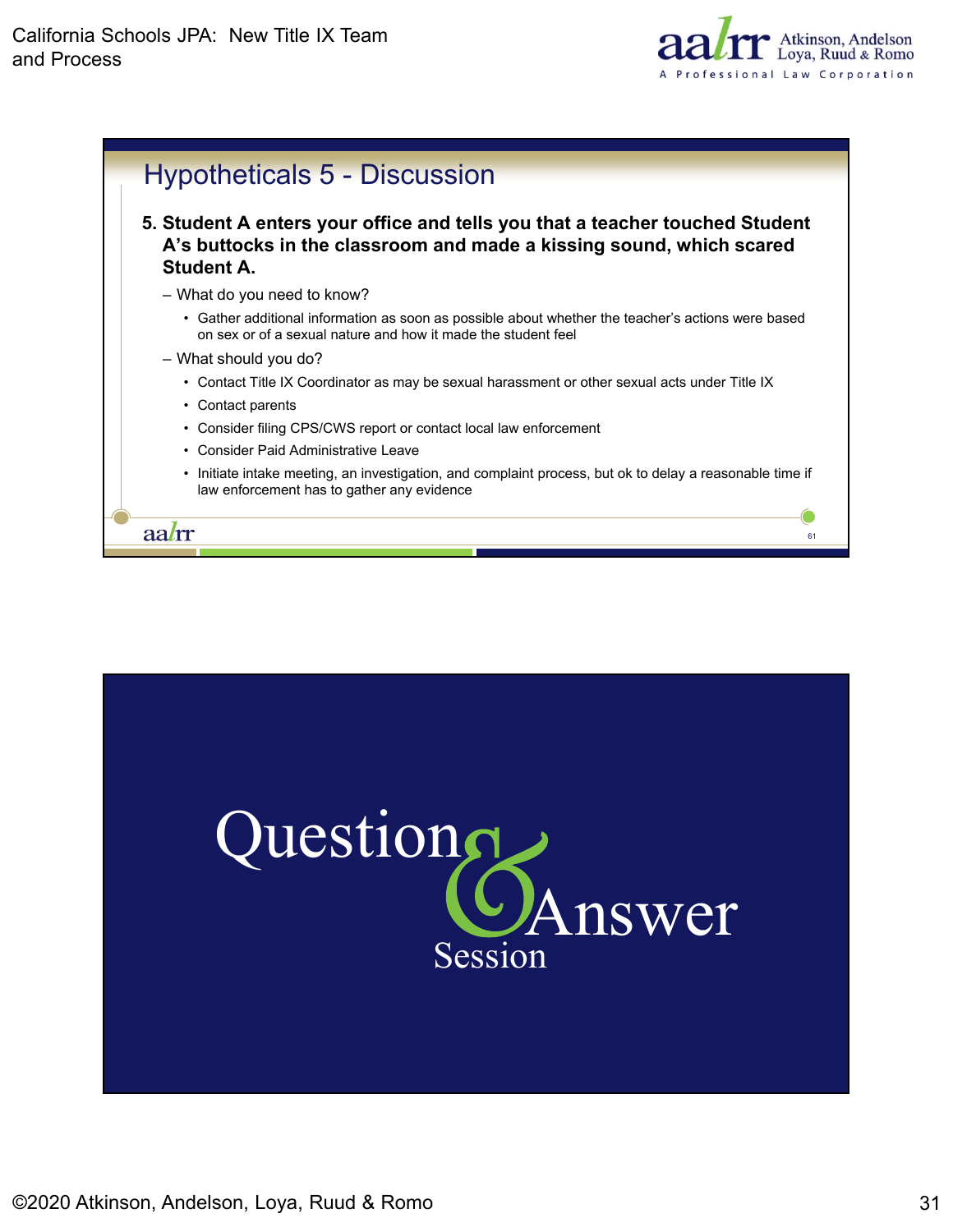



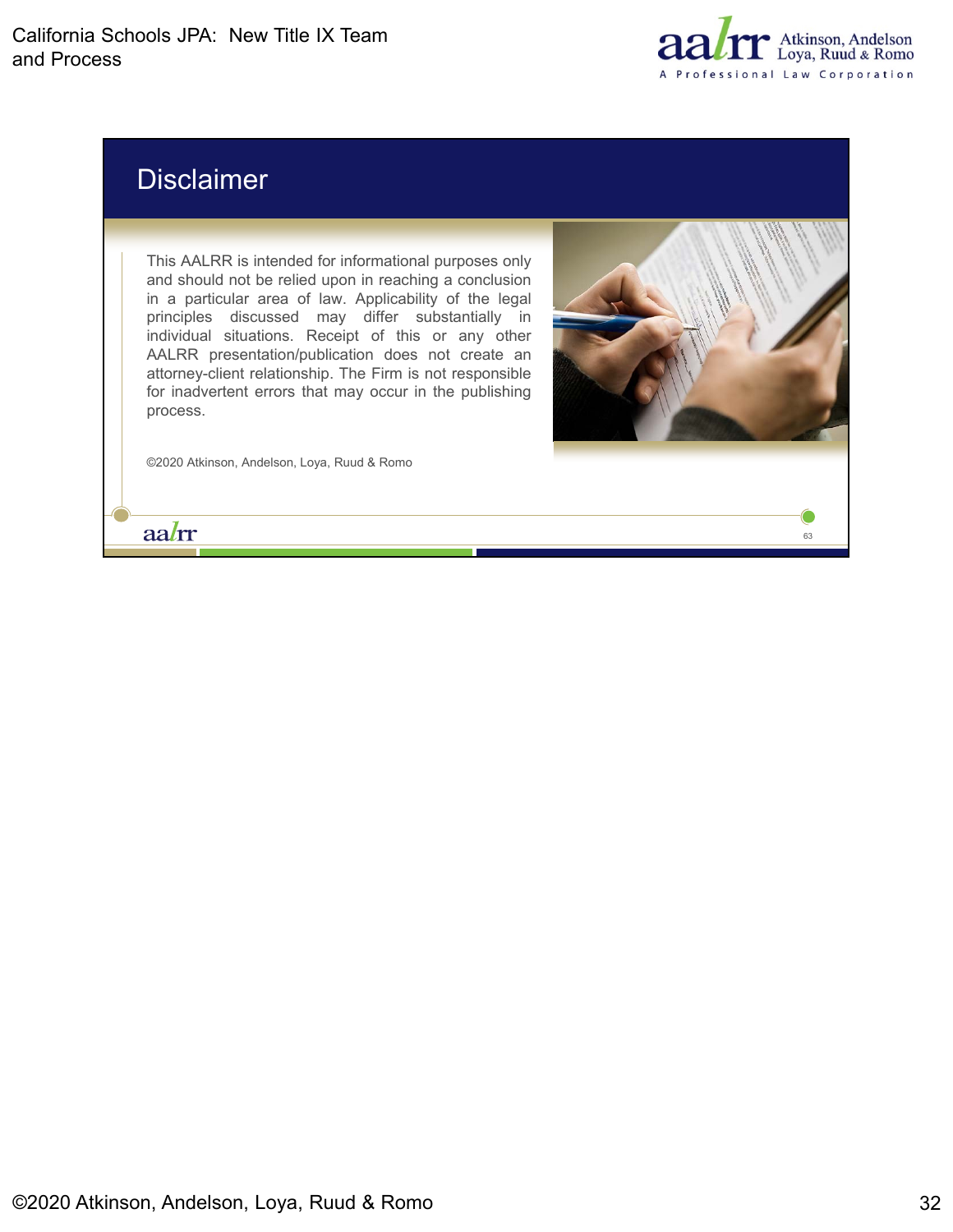

63

# Disclaimer

aalrr

This AALRR is intended for informational purposes only and should not be relied upon in reaching a conclusion in a particular area of law. Applicability of the legal principles discussed may differ substantially in individual situations. Receipt of this or any other AALRR presentation/publication does not create an attorney-client relationship. The Firm is not responsible for inadvertent errors that may occur in the publishing process.

©2020 Atkinson, Andelson, Loya, Ruud & Romo

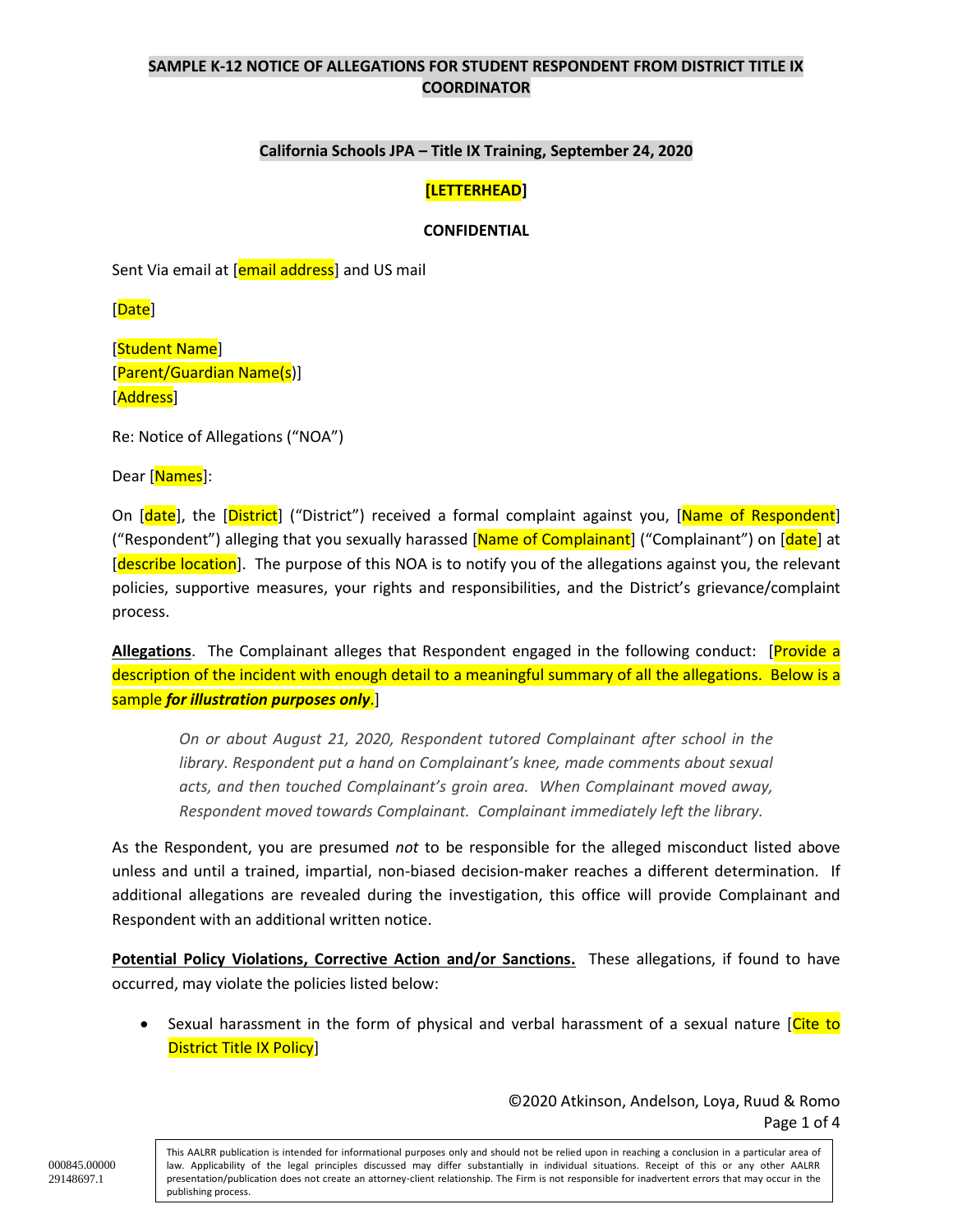#### **California Schools JPA – Title IX Training, September 24, 2020**

#### **[LETTERHEAD]**

#### **CONFIDENTIAL**

Sent Via email at [email address] and US mail

[Date]

[Student Name] [Parent/Guardian Name(s)] [Address]

Re: Notice of Allegations ("NOA")

Dear [Names]:

On [date], the [District] ("District") received a formal complaint against you, [Name of Respondent] ("Respondent") alleging that you sexually harassed [Name of Complainant] ("Complainant") on [date] at [describe location]. The purpose of this NOA is to notify you of the allegations against you, the relevant policies, supportive measures, your rights and responsibilities, and the District's grievance/complaint process.

**Allegations**. The Complainant alleges that Respondent engaged in the following conduct: [Provide a description of the incident with enough detail to a meaningful summary of all the allegations. Below is a sample *for illustration purposes only*.]

*On or about August 21, 2020, Respondent tutored Complainant after school in the library. Respondent put a hand on Complainant's knee, made comments about sexual acts, and then touched Complainant's groin area. When Complainant moved away, Respondent moved towards Complainant. Complainant immediately left the library.*

As the Respondent, you are presumed *not* to be responsible for the alleged misconduct listed above unless and until a trained, impartial, non-biased decision-maker reaches a different determination. If additional allegations are revealed during the investigation, this office will provide Complainant and Respondent with an additional written notice.

**Potential Policy Violations, Corrective Action and/or Sanctions.** These allegations, if found to have occurred, may violate the policies listed below:

Sexual harassment in the form of physical and verbal harassment of a sexual nature [Cite to District Title IX Policy]

> ©2020 Atkinson, Andelson, Loya, Ruud & Romo Page 1 of 4

This AALRR publication is intended for informational purposes only and should not be relied upon in reaching a conclusion in a particular area of law. Applicability of the legal principles discussed may differ substantially in individual situations. Receipt of this or any other AALRR presentation/publication does not create an attorney-client relationship. The Firm is not responsible for inadvertent errors that may occur in the publishing process.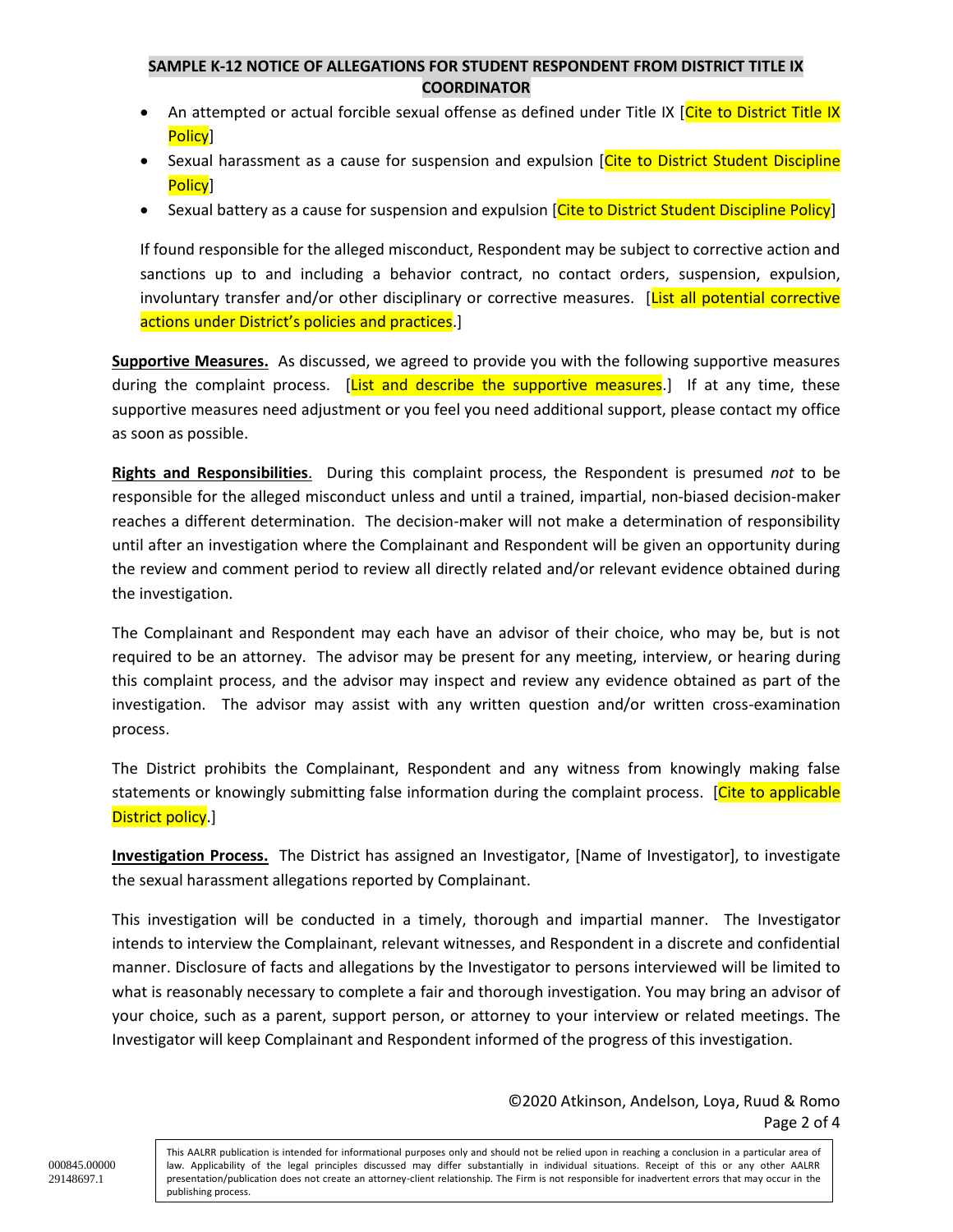- An attempted or actual forcible sexual offense as defined under Title IX [Cite to District Title IX Policy]
- Sexual harassment as a cause for suspension and expulsion [Cite to District Student Discipline Policy]
- Sexual battery as a cause for suspension and expulsion [Cite to District Student Discipline Policy]

If found responsible for the alleged misconduct, Respondent may be subject to corrective action and sanctions up to and including a behavior contract, no contact orders, suspension, expulsion, involuntary transfer and/or other disciplinary or corrective measures. [List all potential corrective actions under District's policies and practices.]

**Supportive Measures.** As discussed, we agreed to provide you with the following supportive measures during the complaint process. [List and describe the supportive measures.] If at any time, these supportive measures need adjustment or you feel you need additional support, please contact my office as soon as possible.

**Rights and Responsibilities**. During this complaint process, the Respondent is presumed *not* to be responsible for the alleged misconduct unless and until a trained, impartial, non-biased decision-maker reaches a different determination. The decision-maker will not make a determination of responsibility until after an investigation where the Complainant and Respondent will be given an opportunity during the review and comment period to review all directly related and/or relevant evidence obtained during the investigation.

The Complainant and Respondent may each have an advisor of their choice, who may be, but is not required to be an attorney. The advisor may be present for any meeting, interview, or hearing during this complaint process, and the advisor may inspect and review any evidence obtained as part of the investigation. The advisor may assist with any written question and/or written cross-examination process.

The District prohibits the Complainant, Respondent and any witness from knowingly making false statements or knowingly submitting false information during the complaint process. [Cite to applicable District policy.]

**Investigation Process.** The District has assigned an Investigator, [Name of Investigator], to investigate the sexual harassment allegations reported by Complainant.

This investigation will be conducted in a timely, thorough and impartial manner. The Investigator intends to interview the Complainant, relevant witnesses, and Respondent in a discrete and confidential manner. Disclosure of facts and allegations by the Investigator to persons interviewed will be limited to what is reasonably necessary to complete a fair and thorough investigation. You may bring an advisor of your choice, such as a parent, support person, or attorney to your interview or related meetings. The Investigator will keep Complainant and Respondent informed of the progress of this investigation.

> ©2020 Atkinson, Andelson, Loya, Ruud & Romo Page 2 of 4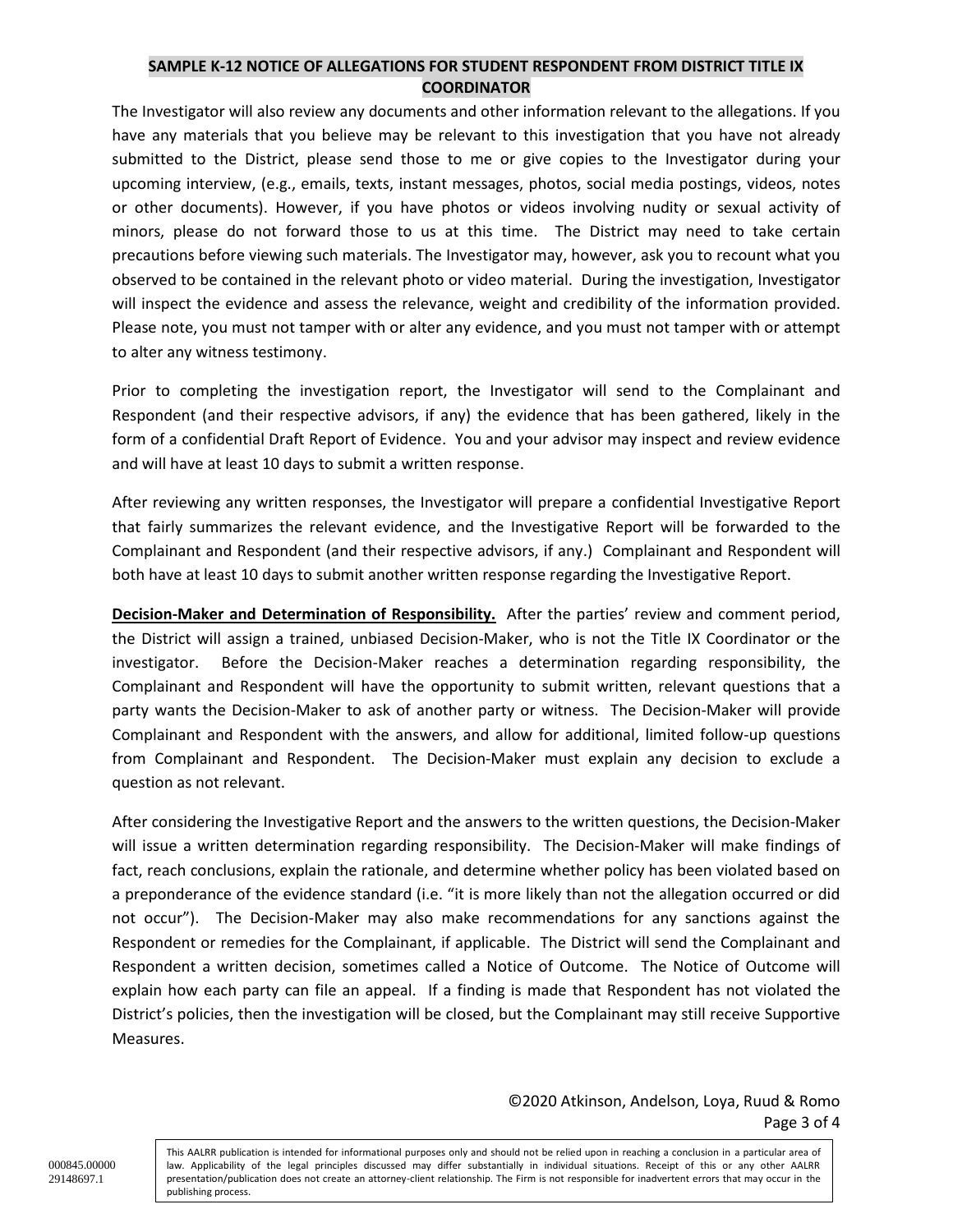The Investigator will also review any documents and other information relevant to the allegations. If you have any materials that you believe may be relevant to this investigation that you have not already submitted to the District, please send those to me or give copies to the Investigator during your upcoming interview, (e.g., emails, texts, instant messages, photos, social media postings, videos, notes or other documents). However, if you have photos or videos involving nudity or sexual activity of minors, please do not forward those to us at this time. The District may need to take certain precautions before viewing such materials. The Investigator may, however, ask you to recount what you observed to be contained in the relevant photo or video material. During the investigation, Investigator will inspect the evidence and assess the relevance, weight and credibility of the information provided. Please note, you must not tamper with or alter any evidence, and you must not tamper with or attempt to alter any witness testimony.

Prior to completing the investigation report, the Investigator will send to the Complainant and Respondent (and their respective advisors, if any) the evidence that has been gathered, likely in the form of a confidential Draft Report of Evidence. You and your advisor may inspect and review evidence and will have at least 10 days to submit a written response.

After reviewing any written responses, the Investigator will prepare a confidential Investigative Report that fairly summarizes the relevant evidence, and the Investigative Report will be forwarded to the Complainant and Respondent (and their respective advisors, if any.) Complainant and Respondent will both have at least 10 days to submit another written response regarding the Investigative Report.

**Decision-Maker and Determination of Responsibility.** After the parties' review and comment period, the District will assign a trained, unbiased Decision-Maker, who is not the Title IX Coordinator or the investigator. Before the Decision-Maker reaches a determination regarding responsibility, the Complainant and Respondent will have the opportunity to submit written, relevant questions that a party wants the Decision-Maker to ask of another party or witness. The Decision-Maker will provide Complainant and Respondent with the answers, and allow for additional, limited follow-up questions from Complainant and Respondent. The Decision-Maker must explain any decision to exclude a question as not relevant.

After considering the Investigative Report and the answers to the written questions, the Decision-Maker will issue a written determination regarding responsibility. The Decision-Maker will make findings of fact, reach conclusions, explain the rationale, and determine whether policy has been violated based on a preponderance of the evidence standard (i.e. "it is more likely than not the allegation occurred or did not occur"). The Decision-Maker may also make recommendations for any sanctions against the Respondent or remedies for the Complainant, if applicable. The District will send the Complainant and Respondent a written decision, sometimes called a Notice of Outcome. The Notice of Outcome will explain how each party can file an appeal. If a finding is made that Respondent has not violated the District's policies, then the investigation will be closed, but the Complainant may still receive Supportive Measures.

> ©2020 Atkinson, Andelson, Loya, Ruud & Romo Page 3 of 4

This AALRR publication is intended for informational purposes only and should not be relied upon in reaching a conclusion in a particular area of law. Applicability of the legal principles discussed may differ substantially in individual situations. Receipt of this or any other AALRR presentation/publication does not create an attorney-client relationship. The Firm is not responsible for inadvertent errors that may occur in the publishing process.